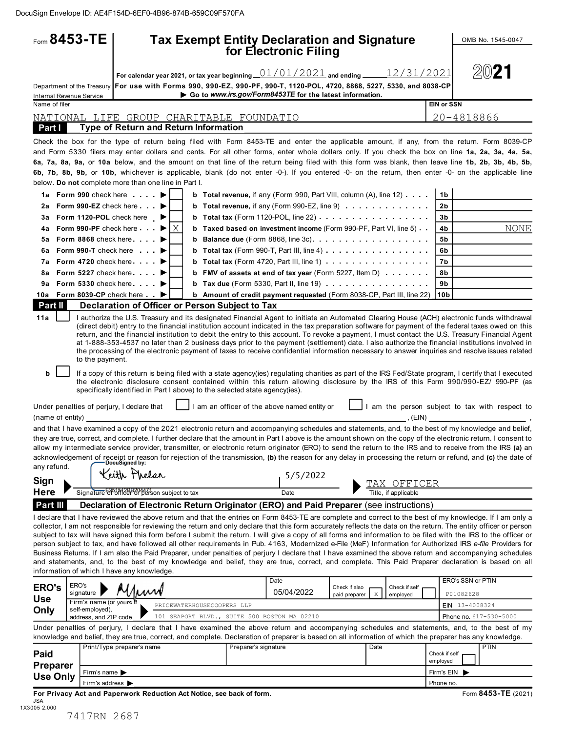|                                                             | Form $8453 - TE$                                                                                                                                            |              |                            |                      | <b>Tax Exempt Entity Declaration and Signature</b><br>for Electronic Filing                                                                                                                                                                                                                                                                                                                                                                                                                                                                                                                                                                                                                                                                                                                                                                                                                                                                                                     |                                                                                                                                                   |                                                |                                        |                                |             |
|-------------------------------------------------------------|-------------------------------------------------------------------------------------------------------------------------------------------------------------|--------------|----------------------------|----------------------|---------------------------------------------------------------------------------------------------------------------------------------------------------------------------------------------------------------------------------------------------------------------------------------------------------------------------------------------------------------------------------------------------------------------------------------------------------------------------------------------------------------------------------------------------------------------------------------------------------------------------------------------------------------------------------------------------------------------------------------------------------------------------------------------------------------------------------------------------------------------------------------------------------------------------------------------------------------------------------|---------------------------------------------------------------------------------------------------------------------------------------------------|------------------------------------------------|----------------------------------------|--------------------------------|-------------|
|                                                             |                                                                                                                                                             |              |                            |                      | For calendar year 2021, or tax year beginning $01/01/2021$ and ending $12/31/2021$                                                                                                                                                                                                                                                                                                                                                                                                                                                                                                                                                                                                                                                                                                                                                                                                                                                                                              |                                                                                                                                                   |                                                |                                        | 2021                           |             |
| <b>Internal Revenue Service</b>                             |                                                                                                                                                             |              |                            |                      | Department of the Treasury For use with Forms 990, 990-EZ, 990-PF, 990-T, 1120-POL, 4720, 8868, 5227, 5330, and 8038-CP<br>Go to www.irs.gov/Form8453TE for the latest information.                                                                                                                                                                                                                                                                                                                                                                                                                                                                                                                                                                                                                                                                                                                                                                                             |                                                                                                                                                   |                                                |                                        |                                |             |
| Name of filer                                               |                                                                                                                                                             |              |                            |                      |                                                                                                                                                                                                                                                                                                                                                                                                                                                                                                                                                                                                                                                                                                                                                                                                                                                                                                                                                                                 |                                                                                                                                                   |                                                | <b>EIN or SSN</b>                      |                                |             |
|                                                             | NATIONAL LIFE GROUP CHARITABLE FOUNDATIO                                                                                                                    |              |                            |                      |                                                                                                                                                                                                                                                                                                                                                                                                                                                                                                                                                                                                                                                                                                                                                                                                                                                                                                                                                                                 |                                                                                                                                                   |                                                |                                        | 20-4818866                     |             |
| Part I                                                      | <b>Type of Return and Return Information</b>                                                                                                                |              |                            |                      |                                                                                                                                                                                                                                                                                                                                                                                                                                                                                                                                                                                                                                                                                                                                                                                                                                                                                                                                                                                 |                                                                                                                                                   |                                                |                                        |                                |             |
| 2a                                                          | below. Do not complete more than one line in Part I.<br>1a Form 990 check here $\ldots$<br>Form 990-EZ check here $\ldots$<br>3a Form 1120-POL check here ▶ |              | b<br>b                     |                      | Check the box for the type of return being filed with Form 8453-TE and enter the applicable amount, if any, from the return. Form 8039-CP<br>and Form 5330 filers may enter dollars and cents. For all other forms, enter whole dollars only. If you check the box on line 1a, 2a, 3a, 4a, 5a,<br>6a, 7a, 8a, 9a, or 10a below, and the amount on that line of the return being filed with this form was blank, then leave line 1b, 2b, 3b, 4b, 5b,<br>6b, 7b, 8b, 9b, or 10b, whichever is applicable, blank (do not enter -0-). If you entered -0- on the return, then enter -0- on the applicable line<br><b>b</b> Total revenue, if any (Form 990, Part VIII, column (A), line 12) $\ldots$ .<br>Total revenue, if any (Form 990-EZ, line 9)<br>Total tax (Form 1120-POL, line 22) $\ldots$ ,                                                                                                                                                                               |                                                                                                                                                   |                                                | 1 <sub>b</sub><br>2 <sub>b</sub><br>3b |                                |             |
| 4a                                                          | Form 990-PF check here $\ldots$ $\blacktriangleright$ $\mid$ $\chi$                                                                                         |              | b                          |                      | Taxed based on investment income (Form 990-PF, Part VI, line 5)                                                                                                                                                                                                                                                                                                                                                                                                                                                                                                                                                                                                                                                                                                                                                                                                                                                                                                                 |                                                                                                                                                   |                                                | 4b                                     |                                | <b>NONE</b> |
| 5a                                                          | Form 8868 check here                                                                                                                                        |              | b                          |                      | Balance due (Form 8868, line 3c).                                                                                                                                                                                                                                                                                                                                                                                                                                                                                                                                                                                                                                                                                                                                                                                                                                                                                                                                               |                                                                                                                                                   |                                                | 5b                                     |                                |             |
| 6a                                                          | Form 990-T check here $\qquad \qquad \blacktriangleright$                                                                                                   |              | b                          |                      | Total tax (Form 990-T, Part III, line 4)                                                                                                                                                                                                                                                                                                                                                                                                                                                                                                                                                                                                                                                                                                                                                                                                                                                                                                                                        |                                                                                                                                                   |                                                | 6b                                     |                                |             |
| 8a                                                          | 7a Form 4720 check here<br>Form 5227 check here $\ldots$                                                                                                    |              | b<br>b                     |                      | Total tax (Form 4720, Part III, line 1)<br>FMV of assets at end of tax year (Form 5227, Item D)                                                                                                                                                                                                                                                                                                                                                                                                                                                                                                                                                                                                                                                                                                                                                                                                                                                                                 |                                                                                                                                                   |                                                | 7b<br>8b                               |                                |             |
|                                                             | 9a Form 5330 check here                                                                                                                                     |              |                            |                      |                                                                                                                                                                                                                                                                                                                                                                                                                                                                                                                                                                                                                                                                                                                                                                                                                                                                                                                                                                                 |                                                                                                                                                   |                                                | 9b                                     |                                |             |
|                                                             | 10a Form 8039-CP check here ▶                                                                                                                               |              |                            |                      | b Amount of credit payment requested (Form 8038-CP, Part III, line 22)                                                                                                                                                                                                                                                                                                                                                                                                                                                                                                                                                                                                                                                                                                                                                                                                                                                                                                          |                                                                                                                                                   |                                                | 10 <sub>b</sub>                        |                                |             |
| Part II                                                     | Declaration of Officer or Person Subject to Tax                                                                                                             |              |                            |                      |                                                                                                                                                                                                                                                                                                                                                                                                                                                                                                                                                                                                                                                                                                                                                                                                                                                                                                                                                                                 |                                                                                                                                                   |                                                |                                        |                                |             |
| b                                                           | to the payment.<br>specifically identified in Part I above) to the selected state agency(ies).<br>Under penalties of perjury, I declare that                |              |                            |                      | return, and the financial institution to debit the entry to this account. To revoke a payment, I must contact the U.S. Treasury Financial Agent<br>at 1-888-353-4537 no later than 2 business days prior to the payment (settlement) date. I also authorize the financial institutions involved in<br>the processing of the electronic payment of taxes to receive confidential information necessary to answer inquiries and resolve issues related<br>If a copy of this return is being filed with a state agency(ies) regulating charities as part of the IRS Fed/State program, I certify that I executed<br>the electronic disclosure consent contained within this return allowing disclosure by the IRS of this Form 990/990-EZ/ 990-PF (as<br>I am an officer of the above named entity or                                                                                                                                                                              | (direct debit) entry to the financial institution account indicated in the tax preparation software for payment of the federal taxes owed on this | I am the person subject to tax with respect to |                                        |                                |             |
|                                                             | DocuSigned by:                                                                                                                                              |              |                            |                      | and that I have examined a copy of the 2021 electronic return and accompanying schedules and statements, and, to the best of my knowledge and belief,<br>they are true, correct, and complete. I further declare that the amount in Part I above is the amount shown on the copy of the electronic return. I consent to<br>allow my intermediate service provider, transmitter, or electronic return originator (ERO) to send the return to the IRS and to receive from the IRS (a) an<br>acknowledgement of receipt or reason for rejection of the transmission, (b) the reason for any delay in processing the return or refund, and (c) the date of                                                                                                                                                                                                                                                                                                                          |                                                                                                                                                   | $\sim$ , (EIN) $\sim$                          |                                        |                                |             |
|                                                             |                                                                                                                                                             | Keith Phelan |                            |                      | 5/5/2022                                                                                                                                                                                                                                                                                                                                                                                                                                                                                                                                                                                                                                                                                                                                                                                                                                                                                                                                                                        |                                                                                                                                                   |                                                |                                        |                                |             |
|                                                             | Signature 60 011 2BB 204471 subject to tax                                                                                                                  |              |                            |                      | Date                                                                                                                                                                                                                                                                                                                                                                                                                                                                                                                                                                                                                                                                                                                                                                                                                                                                                                                                                                            |                                                                                                                                                   | TAX OFFICER<br>Title, if applicable            |                                        |                                |             |
|                                                             |                                                                                                                                                             |              |                            |                      | Declaration of Electronic Return Originator (ERO) and Paid Preparer (see instructions)                                                                                                                                                                                                                                                                                                                                                                                                                                                                                                                                                                                                                                                                                                                                                                                                                                                                                          |                                                                                                                                                   |                                                |                                        |                                |             |
| (name of entity)<br>any refund.<br>Sign<br>Here<br>Part III | information of which I have any knowledge.                                                                                                                  |              |                            |                      | I declare that I have reviewed the above return and that the entries on Form 8453-TE are complete and correct to the best of my knowledge. If I am only a<br>collector, I am not responsible for reviewing the return and only declare that this form accurately reflects the data on the return. The entity officer or person<br>subject to tax will have signed this form before I submit the return. I will give a copy of all forms and information to be filed with the IRS to the officer or<br>person subject to tax, and have followed all other requirements in Pub. 4163, Modernized e-File (MeF) Information for Authorized IRS e-file Providers for<br>Business Returns. If I am also the Paid Preparer, under penalties of perjury I declare that I have examined the above return and accompanying schedules<br>and statements, and, to the best of my knowledge and belief, they are true, correct, and complete. This Paid Preparer declaration is based on all |                                                                                                                                                   |                                                |                                        |                                |             |
|                                                             | ERO's<br>signature                                                                                                                                          | Uww          |                            |                      | Date<br>05/04/2022                                                                                                                                                                                                                                                                                                                                                                                                                                                                                                                                                                                                                                                                                                                                                                                                                                                                                                                                                              | Check if also<br>X<br>paid preparer                                                                                                               | Check if self<br>employed                      |                                        | ERO's SSN or PTIN<br>P01082628 |             |
|                                                             | Firm's name (or yours<br>self-employed),                                                                                                                    |              | PRICEWATERHOUSECOOPERS LLP |                      |                                                                                                                                                                                                                                                                                                                                                                                                                                                                                                                                                                                                                                                                                                                                                                                                                                                                                                                                                                                 |                                                                                                                                                   |                                                |                                        | EIN 13-4008324                 |             |
| <b>ERO's</b><br>Use<br>Only                                 | address, and ZIP code                                                                                                                                       |              |                            |                      | 101 SEAPORT BLVD., SUITE 500 BOSTON MA 02210<br>Under penalties of perjury, I declare that I have examined the above return and accompanying schedules and statements, and, to the best of my                                                                                                                                                                                                                                                                                                                                                                                                                                                                                                                                                                                                                                                                                                                                                                                   |                                                                                                                                                   |                                                |                                        | Phone no. 617-530-5000         |             |
|                                                             |                                                                                                                                                             |              |                            |                      | knowledge and belief, they are true, correct, and complete. Declaration of preparer is based on all information of which the preparer has any knowledge.                                                                                                                                                                                                                                                                                                                                                                                                                                                                                                                                                                                                                                                                                                                                                                                                                        |                                                                                                                                                   |                                                |                                        |                                |             |
|                                                             | Print/Type preparer's name                                                                                                                                  |              |                            | Preparer's signature |                                                                                                                                                                                                                                                                                                                                                                                                                                                                                                                                                                                                                                                                                                                                                                                                                                                                                                                                                                                 | Date                                                                                                                                              |                                                | Check if self                          | <b>PTIN</b>                    |             |
| Paid<br><b>Preparer</b>                                     | Firm's name                                                                                                                                                 |              |                            |                      |                                                                                                                                                                                                                                                                                                                                                                                                                                                                                                                                                                                                                                                                                                                                                                                                                                                                                                                                                                                 |                                                                                                                                                   |                                                | employed<br>Firm's EIN                 |                                |             |

7417RN 2687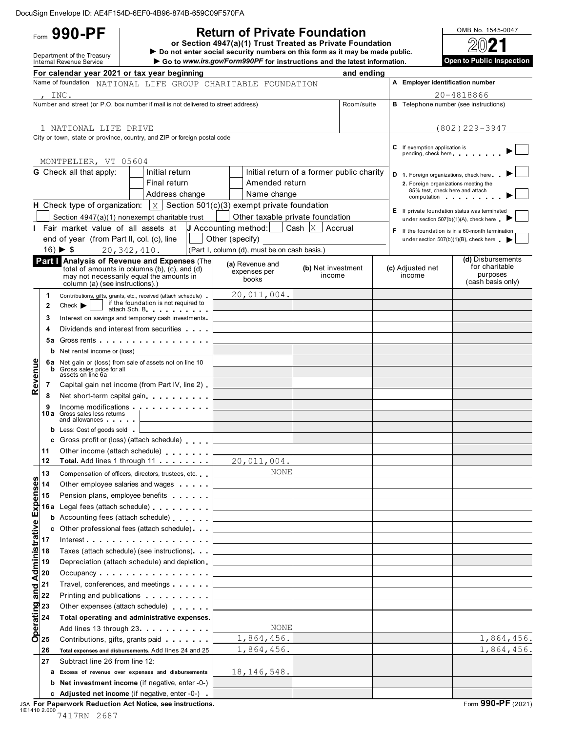# **Return of Private Foundation**  $\frac{\text{OMB No. }1545-0047}{\text{OMB}}$

or Section 4947(a)(1) Trust Treated as Private Foundation  $D = 0$ <br>
Department of the Treasury **Department of the Treasury Department of the Treasury Department of the Treasury Department of the Treasury Department of the Treasury <b>Department of the Treasury Department of the Trea** 

Go to www.irs.gov/Form990PF for instructions and the latest information.

|                            |                                                                                                                                                       | For calendar year 2021 or tax year beginning                                                                     |                 |                                                    |                                                                    | and ending |                                                                         |                                                  |
|----------------------------|-------------------------------------------------------------------------------------------------------------------------------------------------------|------------------------------------------------------------------------------------------------------------------|-----------------|----------------------------------------------------|--------------------------------------------------------------------|------------|-------------------------------------------------------------------------|--------------------------------------------------|
|                            |                                                                                                                                                       | Name of foundation NATIONAL LIFE GROUP CHARITABLE FOUNDATION                                                     |                 |                                                    |                                                                    |            | A Employer identification number                                        |                                                  |
| , $INC.$                   |                                                                                                                                                       |                                                                                                                  |                 |                                                    |                                                                    |            |                                                                         | 20-4818866                                       |
|                            |                                                                                                                                                       | Number and street (or P.O. box number if mail is not delivered to street address)                                |                 |                                                    |                                                                    | Room/suite |                                                                         | <b>B</b> Telephone number (see instructions)     |
|                            |                                                                                                                                                       |                                                                                                                  |                 |                                                    |                                                                    |            |                                                                         |                                                  |
|                            |                                                                                                                                                       | 1 NATIONAL LIFE DRIVE                                                                                            |                 |                                                    |                                                                    |            |                                                                         | $(802)$ 229-3947                                 |
|                            |                                                                                                                                                       | City or town, state or province, country, and ZIP or foreign postal code                                         |                 |                                                    |                                                                    |            |                                                                         |                                                  |
|                            |                                                                                                                                                       |                                                                                                                  |                 |                                                    |                                                                    |            | C If exemption application is<br>pending, check here                    |                                                  |
|                            |                                                                                                                                                       | MONTPELIER, VT 05604                                                                                             |                 |                                                    |                                                                    |            |                                                                         |                                                  |
|                            |                                                                                                                                                       | <b>G</b> Check all that apply:<br>Initial return                                                                 |                 |                                                    | Initial return of a former public charity                          |            | D 1. Foreign organizations, check here                                  |                                                  |
|                            |                                                                                                                                                       | Final return                                                                                                     |                 | Amended return                                     |                                                                    |            | 2. Foreign organizations meeting the<br>85% test, check here and attach |                                                  |
|                            |                                                                                                                                                       | Address change                                                                                                   |                 | Name change                                        |                                                                    |            |                                                                         | computation                                      |
|                            |                                                                                                                                                       | <b>H</b> Check type of organization: $\vert x \vert$ Section 501(c)(3) exempt private foundation                 |                 |                                                    |                                                                    |            |                                                                         | E If private foundation status was terminated    |
|                            |                                                                                                                                                       | Section 4947(a)(1) nonexempt charitable trust                                                                    |                 |                                                    | Other taxable private foundation                                   |            |                                                                         | under section 507(b)(1)(A), check here .         |
|                            |                                                                                                                                                       | Fair market value of all assets at                                                                               |                 |                                                    | <b>J</b> Accounting method: $\vert$ Cash $\vert$ X $\vert$ Accrual |            |                                                                         | F If the foundation is in a 60-month termination |
|                            |                                                                                                                                                       | end of year (from Part II, col. (c), line                                                                        | Other (specify) |                                                    |                                                                    |            |                                                                         | under section $507(b)(1)(B)$ , check here $\Box$ |
|                            |                                                                                                                                                       | $16) \triangleright $ \$<br>20, 342, 410.                                                                        |                 | (Part I, column (d), must be on cash basis.)       |                                                                    |            |                                                                         | (d) Disbursements                                |
|                            |                                                                                                                                                       | Part   Analysis of Revenue and Expenses (The<br>total of amounts in columns (b), (c), and (d)                    |                 | (a) Revenue and<br>expenses per                    | (b) Net investment                                                 |            | (c) Adjusted net                                                        | for charitable                                   |
|                            |                                                                                                                                                       | may not necessarily equal the amounts in                                                                         |                 | books                                              | income                                                             |            | income                                                                  | purposes<br>(cash basis only)                    |
|                            |                                                                                                                                                       | column (a) (see instructions).)                                                                                  |                 | 20,011,004.                                        |                                                                    |            |                                                                         |                                                  |
|                            | 1<br>$\mathbf{2}$                                                                                                                                     | Contributions, gifts, grants, etc., received (attach schedule).<br>if the foundation is not required to<br>Check |                 |                                                    |                                                                    |            |                                                                         |                                                  |
|                            |                                                                                                                                                       | attach Sch. B.                                                                                                   |                 |                                                    |                                                                    |            |                                                                         |                                                  |
|                            | 3<br>4                                                                                                                                                | Interest on savings and temporary cash investments.<br>Dividends and interest from securities                    |                 |                                                    |                                                                    |            |                                                                         |                                                  |
|                            | 5а                                                                                                                                                    | Gross rents                                                                                                      |                 |                                                    |                                                                    |            |                                                                         |                                                  |
|                            | b                                                                                                                                                     | Net rental income or (loss)                                                                                      |                 |                                                    |                                                                    |            |                                                                         |                                                  |
|                            |                                                                                                                                                       | 6a Net gain or (loss) from sale of assets not on line 10                                                         |                 |                                                    |                                                                    |            |                                                                         |                                                  |
|                            | b                                                                                                                                                     | Gross sales price for all<br>assets on line 6a.                                                                  |                 |                                                    |                                                                    |            |                                                                         |                                                  |
| Revenue                    | 7                                                                                                                                                     | Capital gain net income (from Part IV, line 2)                                                                   |                 | <u> 1980 - Johann Barbara, martxa alemani</u> ar a |                                                                    |            |                                                                         |                                                  |
|                            | 8                                                                                                                                                     | Net short-term capital gain                                                                                      |                 |                                                    |                                                                    |            |                                                                         |                                                  |
|                            | 9                                                                                                                                                     | Income modifications                                                                                             |                 |                                                    |                                                                    |            |                                                                         |                                                  |
|                            |                                                                                                                                                       | <b>10a</b> Gross sales less returns<br>and allowances                                                            |                 |                                                    |                                                                    |            |                                                                         |                                                  |
|                            |                                                                                                                                                       | <b>b</b> Less: Cost of goods sold                                                                                |                 |                                                    |                                                                    |            |                                                                         |                                                  |
|                            |                                                                                                                                                       | c Gross profit or (loss) (attach schedule)                                                                       |                 | the control of the control of the control of       |                                                                    |            |                                                                         |                                                  |
|                            | 11                                                                                                                                                    | Other income (attach schedule)                                                                                   |                 |                                                    |                                                                    |            |                                                                         |                                                  |
|                            | 12                                                                                                                                                    | Total. Add lines 1 through 11                                                                                    |                 | 20,011,004.                                        |                                                                    |            |                                                                         |                                                  |
| S                          | 13                                                                                                                                                    | Compensation of officers, directors, trustees, etc.                                                              |                 | NONE                                               |                                                                    |            |                                                                         |                                                  |
|                            | 14                                                                                                                                                    | Other employee salaries and wages                                                                                |                 |                                                    |                                                                    |            |                                                                         |                                                  |
|                            | 15                                                                                                                                                    | Pension plans, employee benefits                                                                                 |                 |                                                    |                                                                    |            |                                                                         |                                                  |
|                            | 16 a                                                                                                                                                  | Legal fees (attach schedule)                                                                                     |                 |                                                    |                                                                    |            |                                                                         |                                                  |
|                            |                                                                                                                                                       | <b>b</b> Accounting fees (attach schedule)                                                                       |                 |                                                    |                                                                    |            |                                                                         |                                                  |
| and Administrative Expense |                                                                                                                                                       | Other professional fees (attach schedule).                                                                       |                 |                                                    |                                                                    |            |                                                                         |                                                  |
|                            | 17                                                                                                                                                    | Interest.<br>Taxes (attach schedule) (see instructions).                                                         |                 |                                                    |                                                                    |            |                                                                         |                                                  |
|                            | 18<br>19                                                                                                                                              | Depreciation (attach schedule) and depletion.                                                                    |                 |                                                    |                                                                    |            |                                                                         |                                                  |
|                            | 20                                                                                                                                                    | Occupancy $\ldots$ , $\ldots$ , $\ldots$ , $\ldots$ , $\ldots$                                                   |                 |                                                    |                                                                    |            |                                                                         |                                                  |
|                            | 21                                                                                                                                                    | Travel, conferences, and meetings                                                                                |                 |                                                    |                                                                    |            |                                                                         |                                                  |
|                            | 22                                                                                                                                                    | Printing and publications                                                                                        |                 |                                                    |                                                                    |            |                                                                         |                                                  |
|                            |                                                                                                                                                       | Other expenses (attach schedule)                                                                                 |                 |                                                    |                                                                    |            |                                                                         |                                                  |
|                            | $\begin{array}{c}\n\overline{\text{gen}}_{23} \\ \overline{\text{gen}}_{24} \\ \overline{\text{gen}}_{25} \\ \overline{\text{gen}}_{25}\n\end{array}$ | Total operating and administrative expenses.                                                                     |                 |                                                    |                                                                    |            |                                                                         |                                                  |
|                            |                                                                                                                                                       | Add lines 13 through 23.                                                                                         |                 | <b>NONE</b>                                        |                                                                    |            |                                                                         |                                                  |
|                            |                                                                                                                                                       | Contributions, gifts, grants paid                                                                                |                 | 1,864,456.                                         |                                                                    |            |                                                                         | 1,864,456.                                       |
|                            | 26                                                                                                                                                    | Total expenses and disbursements. Add lines 24 and 25                                                            |                 | 1,864,456.                                         |                                                                    |            |                                                                         | 1,864,456.                                       |
|                            | 27                                                                                                                                                    | Subtract line 26 from line 12:                                                                                   |                 |                                                    |                                                                    |            |                                                                         |                                                  |
|                            |                                                                                                                                                       | a Excess of revenue over expenses and disbursements                                                              |                 | 18, 146, 548.                                      |                                                                    |            |                                                                         |                                                  |
|                            |                                                                                                                                                       | b Net investment income (if negative, enter -0-)                                                                 |                 |                                                    |                                                                    |            |                                                                         |                                                  |
|                            |                                                                                                                                                       | c Adjusted net income (if negative, enter -0-).                                                                  |                 |                                                    |                                                                    |            |                                                                         |                                                  |

JSA For Paperwork Reduction Act Notice, see instructions.<br>1E1410 2.000 7417RN 2687 **Form 990-PF** (2021)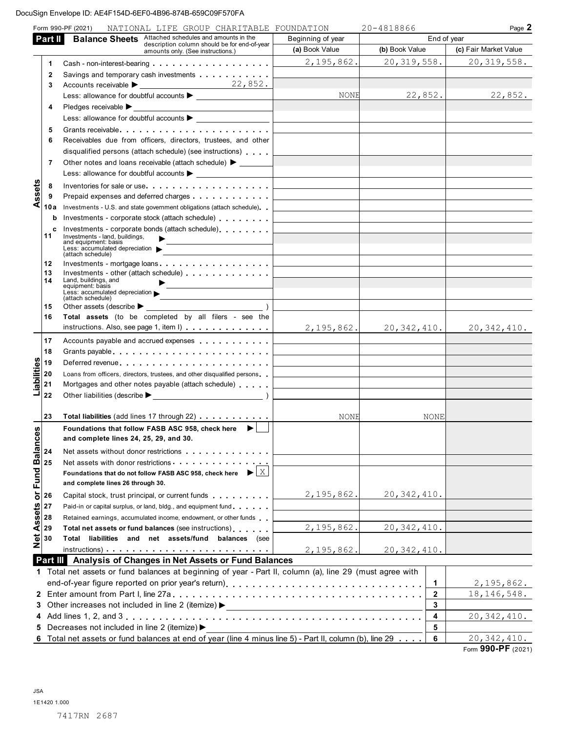|                     |                | Form 990-PF (2021)<br>NATIONAL LIFE GROUP CHARITABLE FOUNDATION                                             |                                                                                                                          | 20-4818866     |              | Page 2                |
|---------------------|----------------|-------------------------------------------------------------------------------------------------------------|--------------------------------------------------------------------------------------------------------------------------|----------------|--------------|-----------------------|
|                     | Part II        | <b>Balance Sheets</b> Attached schedules and amounts in the<br>description column should be for end-of-year | Beginning of year                                                                                                        |                | End of year  |                       |
|                     |                | amounts only. (See instructions.)                                                                           | (a) Book Value                                                                                                           | (b) Book Value |              | (c) Fair Market Value |
|                     | $\mathbf{1}$   |                                                                                                             | 2, 195, 862.                                                                                                             | 20, 319, 558.  |              | 20, 319, 558.         |
|                     | $\mathbf{2}$   | Savings and temporary cash investments                                                                      |                                                                                                                          |                |              |                       |
|                     | 3              |                                                                                                             |                                                                                                                          |                |              |                       |
|                     |                | Less: allowance for doubtful accounts $\blacktriangleright$                                                 | NONE                                                                                                                     | 22,852.        |              | 22,852.               |
|                     | 4              | Pledges receivable ▶                                                                                        |                                                                                                                          |                |              |                       |
|                     |                | Less: allowance for doubtful accounts $\blacktriangleright$ ________________                                |                                                                                                                          |                |              |                       |
|                     | 5              |                                                                                                             |                                                                                                                          |                |              |                       |
|                     | 6              | Receivables due from officers, directors, trustees, and other                                               |                                                                                                                          |                |              |                       |
|                     |                | disqualified persons (attach schedule) (see instructions)                                                   |                                                                                                                          |                |              |                       |
|                     | $\overline{7}$ | Other notes and loans receivable (attach schedule) > _______                                                |                                                                                                                          |                |              |                       |
|                     |                |                                                                                                             |                                                                                                                          |                |              |                       |
|                     | 8              | Inventories for sale or use                                                                                 |                                                                                                                          |                |              |                       |
| ssets               | 9              | Prepaid expenses and deferred charges                                                                       |                                                                                                                          |                |              |                       |
| ⋖                   | 10a            | Investments - U.S. and state government obligations (attach schedule).                                      |                                                                                                                          |                |              |                       |
|                     | b              | Investments - corporate stock (attach schedule)                                                             |                                                                                                                          |                |              |                       |
|                     | c              | Investments - corporate bonds (attach schedule).                                                            |                                                                                                                          |                |              |                       |
|                     | 11             | Investments - land, buildings,<br>$\blacktriangleright$<br>and equipment: basis                             |                                                                                                                          |                |              |                       |
|                     |                | Less: accumulated depreciation                                                                              |                                                                                                                          |                |              |                       |
|                     | 12             | (attach schedule)<br>Investments - mortgage loans                                                           |                                                                                                                          |                |              |                       |
|                     | 13             | Investments - other (attach schedule)                                                                       |                                                                                                                          |                |              |                       |
|                     | 14             | Land, buildings, and<br>equipment: basis                                                                    |                                                                                                                          |                |              |                       |
|                     |                | Less: accumulated depreciation                                                                              |                                                                                                                          |                |              |                       |
|                     | 15             | (attach schedule)<br>Other assets (describe $\blacktriangleright$ $\_\_$                                    |                                                                                                                          |                |              |                       |
|                     | 16             | Total assets (to be completed by all filers - see the                                                       |                                                                                                                          |                |              |                       |
|                     |                | instructions. Also, see page 1, item $ \cdot $                                                              | $2,195,862.$ 20,342,410. 20,342,410.                                                                                     |                |              |                       |
|                     | 17             | Accounts payable and accrued expenses                                                                       |                                                                                                                          |                |              |                       |
|                     | 18             | Grants payable                                                                                              |                                                                                                                          |                |              |                       |
|                     | 19             |                                                                                                             |                                                                                                                          |                |              |                       |
|                     | 20             | Loans from officers, directors, trustees, and other disqualified persons                                    |                                                                                                                          |                |              |                       |
| Liabilities         | 21             | Mortgages and other notes payable (attach schedule)                                                         |                                                                                                                          |                |              |                       |
|                     | 22             |                                                                                                             |                                                                                                                          |                |              |                       |
|                     |                |                                                                                                             |                                                                                                                          |                |              |                       |
|                     | 23             | Total liabilities (add lines 17 through 22)                                                                 | NONE                                                                                                                     |                | NONE         |                       |
| <b>S</b>            |                | Foundations that follow FASB ASC 958, check here ▶                                                          |                                                                                                                          |                |              |                       |
| $\omega$            |                | and complete lines 24, 25, 29, and 30.                                                                      |                                                                                                                          |                |              |                       |
|                     | 24             | Net assets without donor restrictions                                                                       |                                                                                                                          |                |              |                       |
| <b>Fund Balanc</b>  | 25             | Net assets with donor restrictions                                                                          |                                                                                                                          |                |              |                       |
|                     |                | $\blacktriangleright$ $\mathbf{X}$<br>Foundations that do not follow FASB ASC 958, check here               |                                                                                                                          |                |              |                       |
|                     |                | and complete lines 26 through 30.                                                                           |                                                                                                                          |                |              |                       |
| $\overline{\sigma}$ | 26             | Capital stock, trust principal, or current funds                                                            | 2,195,862.                                                                                                               | 20, 342, 410.  |              |                       |
|                     | 27             | Paid-in or capital surplus, or land, bldg., and equipment fund                                              |                                                                                                                          |                |              |                       |
|                     | 28             | Retained earnings, accumulated income, endowment, or other funds                                            |                                                                                                                          |                |              |                       |
| Assets              | 29             | Total net assets or fund balances (see instructions).                                                       | 2,195,862.                                                                                                               | 20, 342, 410.  |              |                       |
|                     | 30             | Total liabilities and net assets/fund balances (see                                                         |                                                                                                                          |                |              |                       |
| $\frac{1}{2}$       |                | $instructions)$                                                                                             | 2,195,862.                                                                                                               | 20, 342, 410.  |              |                       |
|                     |                | Part III Analysis of Changes in Net Assets or Fund Balances                                                 |                                                                                                                          |                |              |                       |
|                     |                | 1 Total net assets or fund balances at beginning of year - Part II, column (a), line 29 (must agree with    |                                                                                                                          |                |              |                       |
|                     |                |                                                                                                             |                                                                                                                          |                | 1            | 2, 195, 862.          |
|                     |                |                                                                                                             |                                                                                                                          |                | $\mathbf{2}$ | 18, 146, 548.         |
|                     |                | 3 Other increases not included in line 2 (itemize) >                                                        |                                                                                                                          |                | 3            |                       |
|                     |                |                                                                                                             | <u> 1980 - Johann Barn, amerikan bestemann eta industrial eta industrial eta industrial eta industrial eta industria</u> |                | 4            | 20, 342, 410.         |
|                     |                | 5 Decreases not included in line 2 (itemize) >                                                              |                                                                                                                          |                | 5            |                       |
|                     |                | 6 Total net assets or fund balances at end of year (line 4 minus line 5) - Part II, column (b), line 29     |                                                                                                                          |                | 6            | 20, 342, 410.         |

Form 990-PF (2021)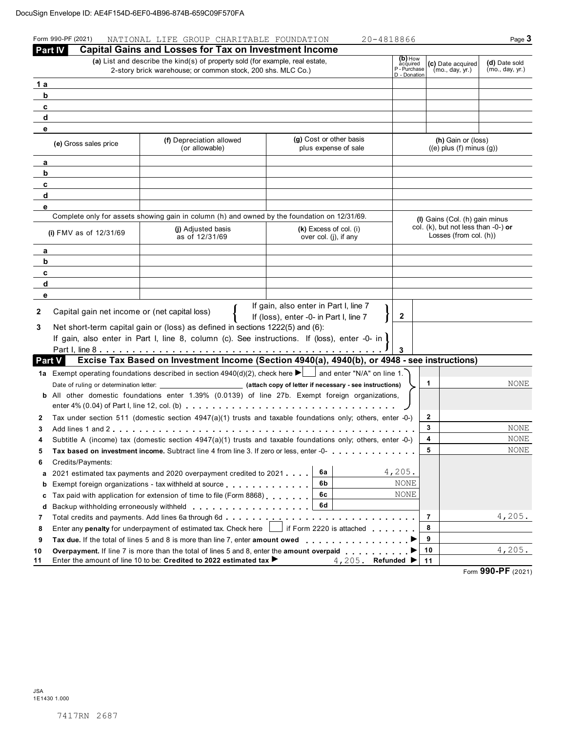|        | Form 990-PF (2021)                                    | NATIONAL LIFE GROUP CHARITABLE FOUNDATION                                                                                                                                                                    |                                                                                 | 20-4818866                                          |                                                               | Page $3$                         |  |
|--------|-------------------------------------------------------|--------------------------------------------------------------------------------------------------------------------------------------------------------------------------------------------------------------|---------------------------------------------------------------------------------|-----------------------------------------------------|---------------------------------------------------------------|----------------------------------|--|
|        | <b>Part IV</b>                                        | <b>Capital Gains and Losses for Tax on Investment Income</b><br>(a) List and describe the kind(s) of property sold (for example, real estate,<br>2-story brick warehouse; or common stock, 200 shs. MLC Co.) |                                                                                 | (b) How<br>acquired<br>P - Purchase<br>D - Donation | (c) Date acquired<br>(mo., day, yr.)                          | (d) Date sold<br>(mo., day, yr.) |  |
| 1a     |                                                       |                                                                                                                                                                                                              |                                                                                 |                                                     |                                                               |                                  |  |
| b      |                                                       |                                                                                                                                                                                                              |                                                                                 |                                                     |                                                               |                                  |  |
| c      |                                                       |                                                                                                                                                                                                              |                                                                                 |                                                     |                                                               |                                  |  |
| d      |                                                       |                                                                                                                                                                                                              |                                                                                 |                                                     |                                                               |                                  |  |
| е      |                                                       |                                                                                                                                                                                                              |                                                                                 |                                                     |                                                               |                                  |  |
|        | (e) Gross sales price                                 | (f) Depreciation allowed<br>(or allowable)                                                                                                                                                                   | (g) Cost or other basis<br>plus expense of sale                                 |                                                     | (h) Gain or (loss)<br>$((e)$ plus $(f)$ minus $(g))$          |                                  |  |
| а      |                                                       |                                                                                                                                                                                                              |                                                                                 |                                                     |                                                               |                                  |  |
| b      |                                                       |                                                                                                                                                                                                              |                                                                                 |                                                     |                                                               |                                  |  |
| c      |                                                       |                                                                                                                                                                                                              |                                                                                 |                                                     |                                                               |                                  |  |
| d      |                                                       |                                                                                                                                                                                                              |                                                                                 |                                                     |                                                               |                                  |  |
| е      |                                                       | Complete only for assets showing gain in column (h) and owned by the foundation on 12/31/69.                                                                                                                 |                                                                                 |                                                     |                                                               |                                  |  |
|        |                                                       |                                                                                                                                                                                                              |                                                                                 |                                                     | (I) Gains (Col. (h) gain minus                                |                                  |  |
|        | (i) FMV as of $12/31/69$                              | (i) Adjusted basis<br>$(k)$ Excess of col. (i)<br>as of 12/31/69<br>over col. (j), if any                                                                                                                    |                                                                                 |                                                     | col. (k), but not less than -0-) or<br>Losses (from col. (h)) |                                  |  |
| а      |                                                       |                                                                                                                                                                                                              |                                                                                 |                                                     |                                                               |                                  |  |
| b      |                                                       |                                                                                                                                                                                                              |                                                                                 |                                                     |                                                               |                                  |  |
| c      |                                                       |                                                                                                                                                                                                              |                                                                                 |                                                     |                                                               |                                  |  |
| d<br>е |                                                       |                                                                                                                                                                                                              |                                                                                 |                                                     |                                                               |                                  |  |
| 2<br>3 | Capital gain net income or (net capital loss)         | Net short-term capital gain or (loss) as defined in sections 1222(5) and (6):<br>If gain, also enter in Part I, line 8, column (c). See instructions. If (loss), enter -0- in l                              | If gain, also enter in Part I, line 7<br>If (loss), enter -0- in Part I, line 7 | 2<br>3                                              |                                                               |                                  |  |
|        | <b>Part V</b>                                         | Excise Tax Based on Investment Income (Section 4940(a), 4940(b), or 4948 - see instructions)                                                                                                                 |                                                                                 |                                                     |                                                               |                                  |  |
|        |                                                       | 1a Exempt operating foundations described in section $4940(d)(2)$ , check here $\blacktriangleright$ and enter "N/A" on line 1.                                                                              |                                                                                 |                                                     |                                                               |                                  |  |
|        |                                                       |                                                                                                                                                                                                              |                                                                                 |                                                     | 1                                                             | NONE                             |  |
|        |                                                       | <b>b</b> All other domestic foundations enter 1.39% (0.0139) of line 27b. Exempt foreign organizations,                                                                                                      |                                                                                 |                                                     |                                                               |                                  |  |
|        |                                                       |                                                                                                                                                                                                              |                                                                                 |                                                     |                                                               |                                  |  |
| 2      |                                                       | Tax under section 511 (domestic section $4947(a)(1)$ trusts and taxable foundations only; others, enter -0-)                                                                                                 |                                                                                 |                                                     | 2                                                             |                                  |  |
| 3      |                                                       |                                                                                                                                                                                                              |                                                                                 |                                                     | 3                                                             | NONE                             |  |
| 4      |                                                       | Subtitle A (income) tax (domestic section 4947(a)(1) trusts and taxable foundations only; others, enter -0-)                                                                                                 |                                                                                 |                                                     | 4                                                             | NONE                             |  |
| 5      |                                                       | Tax based on investment income. Subtract line 4 from line 3. If zero or less, enter -0-                                                                                                                      |                                                                                 |                                                     | 5                                                             | NONE                             |  |
| 6      | Credits/Payments:                                     |                                                                                                                                                                                                              |                                                                                 |                                                     |                                                               |                                  |  |
| a      |                                                       | 2021 estimated tax payments and 2020 overpayment credited to 2021                                                                                                                                            | 6a<br>6b                                                                        | 4,205.<br>NONE                                      |                                                               |                                  |  |
| b      | Exempt foreign organizations - tax withheld at source | NONE                                                                                                                                                                                                         |                                                                                 |                                                     |                                                               |                                  |  |
| с      |                                                       | Tax paid with application for extension of time to file (Form 8868)                                                                                                                                          | 6с<br>6d                                                                        |                                                     |                                                               |                                  |  |
| d      |                                                       |                                                                                                                                                                                                              |                                                                                 |                                                     | 7                                                             | 4,205.                           |  |
| 7      |                                                       |                                                                                                                                                                                                              |                                                                                 |                                                     | 8                                                             |                                  |  |
| 8<br>9 |                                                       | Enter any <b>penalty</b> for underpayment of estimated tax. Check here $\Box$                                                                                                                                | $\rfloor$ if Form 2220 is attached $\; \ldots \; \ldots \; \ldots \;$           |                                                     | 9                                                             |                                  |  |
| 10     |                                                       | <b>Overpayment.</b> If line 7 is more than the total of lines 5 and 8, enter the <b>amount overpaid</b> $\ldots$ , , , , , , , ,                                                                             |                                                                                 |                                                     | 10                                                            | 4,205.                           |  |
| 11     |                                                       | Enter the amount of line 10 to be: Credited to 2022 estimated tax ▶                                                                                                                                          |                                                                                 | 4,205. Refunded $\blacktriangleright$               | 11                                                            |                                  |  |

Form 990-PF (2021)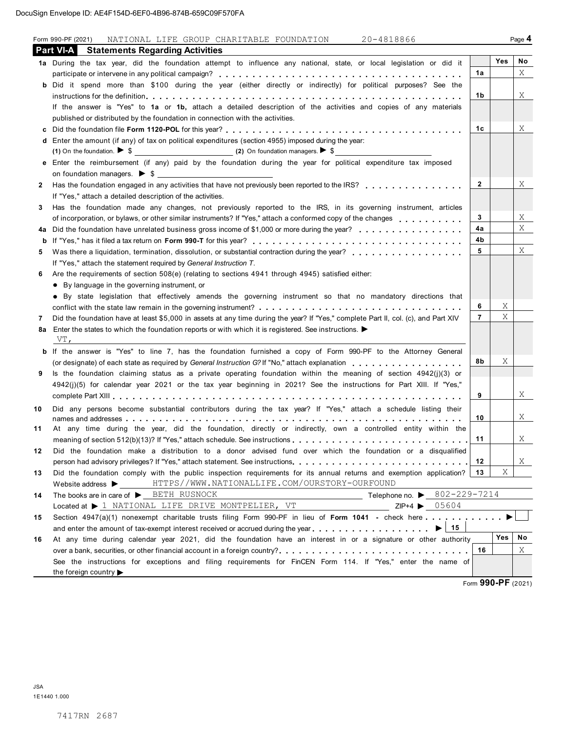|    | Form 990-PF (2021)<br>NATIONAL LIFE GROUP CHARITABLE FOUNDATION 20-4818866                                                                                                                                                    |                |        | Page 4 |
|----|-------------------------------------------------------------------------------------------------------------------------------------------------------------------------------------------------------------------------------|----------------|--------|--------|
|    | <b>Part VI-A</b><br><b>Statements Regarding Activities</b>                                                                                                                                                                    |                |        |        |
|    | 1a During the tax year, did the foundation attempt to influence any national, state, or local legislation or did it                                                                                                           |                | Yes    | No     |
|    |                                                                                                                                                                                                                               | 1a             |        | Χ      |
|    | b Did it spend more than \$100 during the year (either directly or indirectly) for political purposes? See the                                                                                                                |                |        |        |
|    |                                                                                                                                                                                                                               | 1b             |        | X      |
|    | If the answer is "Yes" to 1a or 1b, attach a detailed description of the activities and copies of any materials                                                                                                               |                |        |        |
|    | published or distributed by the foundation in connection with the activities.                                                                                                                                                 |                |        |        |
| с  |                                                                                                                                                                                                                               | 1c             |        | Χ      |
|    | d Enter the amount (if any) of tax on political expenditures (section 4955) imposed during the year:                                                                                                                          |                |        |        |
|    |                                                                                                                                                                                                                               |                |        |        |
|    | e Enter the reimbursement (if any) paid by the foundation during the year for political expenditure tax imposed                                                                                                               |                |        |        |
|    |                                                                                                                                                                                                                               |                |        |        |
| 2  | Has the foundation engaged in any activities that have not previously been reported to the IRS?                                                                                                                               | $\overline{2}$ |        | Χ      |
|    | If "Yes," attach a detailed description of the activities.                                                                                                                                                                    |                |        |        |
| 3  | Has the foundation made any changes, not previously reported to the IRS, in its governing instrument, articles                                                                                                                |                |        |        |
|    | of incorporation, or bylaws, or other similar instruments? If "Yes," attach a conformed copy of the changes entitled to the change and the changes entitled to the change and the change and the change and the change of the | 3              |        | Χ      |
| 4a | Did the foundation have unrelated business gross income of \$1,000 or more during the year?                                                                                                                                   | 4a             |        | Χ      |
| b  |                                                                                                                                                                                                                               | 4b             |        |        |
| 5  |                                                                                                                                                                                                                               | 5              |        | Χ      |
|    | If "Yes," attach the statement required by General Instruction T.                                                                                                                                                             |                |        |        |
| 6  | Are the requirements of section 508(e) (relating to sections 4941 through 4945) satisfied either:                                                                                                                             |                |        |        |
|    | • By language in the governing instrument, or                                                                                                                                                                                 |                |        |        |
|    | . By state legislation that effectively amends the governing instrument so that no mandatory directions that                                                                                                                  |                |        |        |
|    |                                                                                                                                                                                                                               | 6              | X<br>Χ |        |
| 7  | Did the foundation have at least \$5,000 in assets at any time during the year? If "Yes," complete Part II, col. (c), and Part XIV                                                                                            | $\overline{7}$ |        |        |
|    | 8a Enter the states to which the foundation reports or with which it is registered. See instructions.<br>VT,                                                                                                                  |                |        |        |
|    | <b>b</b> If the answer is "Yes" to line 7, has the foundation furnished a copy of Form 990-PF to the Attorney General                                                                                                         |                |        |        |
|    | (or designate) of each state as required by General Instruction G? If "No," attach explanation entitled by $\alpha$ , and $\beta$                                                                                             | 8b             | Χ      |        |
| 9  | Is the foundation claiming status as a private operating foundation within the meaning of section $4942(j)(3)$ or                                                                                                             |                |        |        |
|    | 4942(j)(5) for calendar year 2021 or the tax year beginning in 2021? See the instructions for Part XIII. If "Yes,"                                                                                                            |                |        |        |
|    |                                                                                                                                                                                                                               | 9              |        | Χ      |
|    |                                                                                                                                                                                                                               |                |        |        |
| 10 | Did any persons become substantial contributors during the tax year? If "Yes," attach a schedule listing their                                                                                                                | 10             |        | Χ      |
| 11 | At any time during the year, did the foundation, directly or indirectly, own a controlled entity within the                                                                                                                   |                |        |        |
|    |                                                                                                                                                                                                                               | 11             |        | X      |
| 12 | Did the foundation make a distribution to a donor advised fund over which the foundation or a disqualified                                                                                                                    |                |        |        |
|    |                                                                                                                                                                                                                               | 12             |        | X      |
| 13 | Did the foundation comply with the public inspection requirements for its annual returns and exemption application?                                                                                                           | 13             | Χ      |        |
|    | HTTPS//WWW.NATIONALLIFE.COM/OURSTORY-OURFOUND<br>Website address $\blacktriangleright$                                                                                                                                        |                |        |        |
| 14 | Telephone no. ▶ $802 - 229 - 7214$<br>The books are in care of $\blacktriangleright$ BETH RUSNOCK                                                                                                                             |                |        |        |
|    | Located at $\blacktriangleright$ 1 NATIONAL LIFE DRIVE MONTPELIER, VT<br>$ZIP+4$ $\triangleright$ 05604                                                                                                                       |                |        |        |
| 15 | Section 4947(a)(1) nonexempt charitable trusts filing Form 990-PF in lieu of Form 1041 - check here                                                                                                                           |                |        |        |
|    | $\blacktriangleright$   15<br>and enter the amount of tax-exempt interest received or accrued during the year $\dots$ , $\dots$ , $\dots$ , $\dots$ , $\dots$ ,                                                               |                |        |        |
| 16 | At any time during calendar year 2021, did the foundation have an interest in or a signature or other authority                                                                                                               |                | Yes    | No     |
|    | over a bank, securities, or other financial account in a foreign country?                                                                                                                                                     | 16             |        | X      |
|    | See the instructions for exceptions and filing requirements for FinCEN Form 114. If "Yes," enter the name of                                                                                                                  |                |        |        |
|    | the foreign country $\blacktriangleright$                                                                                                                                                                                     |                | 0.0000 |        |

Form 990-PF (2021)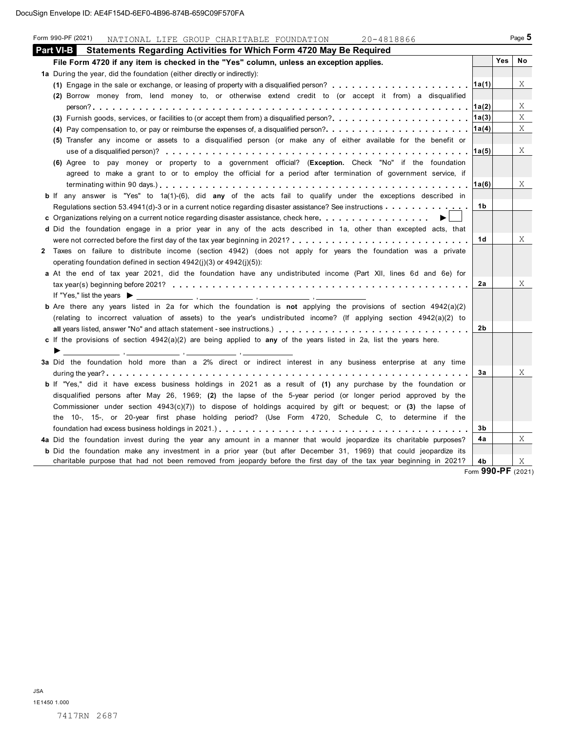| Part VI-B I<br>Statements Regarding Activities for Which Form 4720 May Be Required<br><b>Yes</b><br>No<br>File Form 4720 if any item is checked in the "Yes" column, unless an exception applies.<br>1a During the year, did the foundation (either directly or indirectly):<br>Χ<br> 1a(1) <br>(2) Borrow money from, lend money to, or otherwise extend credit to (or accept it from) a disqualified<br>Χ<br>X<br> 1a(3) <br>(3) Furnish goods, services, or facilities to (or accept them from) a disqualified person?<br>Χ<br> 1a(4) <br>(4) Pay compensation to, or pay or reimburse the expenses of, a disqualified person?<br>(5) Transfer any income or assets to a disqualified person (or make any of either available for the benefit or<br>Χ<br>∣1a(5)<br>(6) Agree to pay money or property to a government official? (Exception. Check "No" if the foundation<br>agreed to make a grant to or to employ the official for a period after termination of government service, if<br>Χ<br>∣1a(6)<br>b If any answer is "Yes" to 1a(1)-(6), did any of the acts fail to qualify under the exceptions described in<br>1b<br>Regulations section 53.4941(d)-3 or in a current notice regarding disaster assistance? See instructions $\dots \dots \dots \dots$<br>c Organizations relying on a current notice regarding disaster assistance, check here.<br>d Did the foundation engage in a prior year in any of the acts described in 1a, other than excepted acts, that<br>Χ<br>1d<br>2 Taxes on failure to distribute income (section 4942) (does not apply for years the foundation was a private<br>operating foundation defined in section 4942(j)(3) or 4942(j)(5)):<br>a At the end of tax year 2021, did the foundation have any undistributed income (Part XII, lines 6d and 6e) for<br>Χ<br>2a<br><b>b</b> Are there any years listed in 2a for which the foundation is not applying the provisions of section $4942(a)(2)$<br>(relating to incorrect valuation of assets) to the year's undistributed income? (If applying section 4942(a)(2) to<br>2b<br>all years listed, answer "No" and attach statement - see instructions.)<br>c If the provisions of section $4942(a)(2)$ are being applied to any of the years listed in 2a, list the years here.<br>▶<br>$\sim$ 100 $\sim$ 100 $\sim$<br>3a Did the foundation hold more than a 2% direct or indirect interest in any business enterprise at any time<br>Χ<br>За<br>b If "Yes," did it have excess business holdings in 2021 as a result of (1) any purchase by the foundation or<br>disqualified persons after May 26, 1969; (2) the lapse of the 5-year period (or longer period approved by the<br>Commissioner under section $4943(c)(7)$ to dispose of holdings acquired by gift or bequest; or (3) the lapse of<br>the 10-, 15-, or 20-year first phase holding period? (Use Form 4720, Schedule C, to determine if the<br>3b<br>X<br>4a Did the foundation invest during the year any amount in a manner that would jeopardize its charitable purposes?<br>4a<br><b>b</b> Did the foundation make any investment in a prior year (but after December 31, 1969) that could jeopardize its<br>charitable purpose that had not been removed from jeopardy before the first day of the tax year beginning in 2021?<br>X<br>4b<br>Form 990-PF (2021) | Form 990-PF (2021)<br>NATIONAL LIFE GROUP CHARITABLE FOUNDATION 20-4818866 |  | Page 5 |
|-------------------------------------------------------------------------------------------------------------------------------------------------------------------------------------------------------------------------------------------------------------------------------------------------------------------------------------------------------------------------------------------------------------------------------------------------------------------------------------------------------------------------------------------------------------------------------------------------------------------------------------------------------------------------------------------------------------------------------------------------------------------------------------------------------------------------------------------------------------------------------------------------------------------------------------------------------------------------------------------------------------------------------------------------------------------------------------------------------------------------------------------------------------------------------------------------------------------------------------------------------------------------------------------------------------------------------------------------------------------------------------------------------------------------------------------------------------------------------------------------------------------------------------------------------------------------------------------------------------------------------------------------------------------------------------------------------------------------------------------------------------------------------------------------------------------------------------------------------------------------------------------------------------------------------------------------------------------------------------------------------------------------------------------------------------------------------------------------------------------------------------------------------------------------------------------------------------------------------------------------------------------------------------------------------------------------------------------------------------------------------------------------------------------------------------------------------------------------------------------------------------------------------------------------------------------------------------------------------------------------------------------------------------------------------------------------------------------------------------------------------------------------------------------------------------------------------------------------------------------------------------------------------------------------------------------------------------------------------------------------------------------------------------------------------------------------------------------------------------------------------------------------------------------------------------------------------------------------------------------------------------------------------------------------------------------------------------|----------------------------------------------------------------------------|--|--------|
|                                                                                                                                                                                                                                                                                                                                                                                                                                                                                                                                                                                                                                                                                                                                                                                                                                                                                                                                                                                                                                                                                                                                                                                                                                                                                                                                                                                                                                                                                                                                                                                                                                                                                                                                                                                                                                                                                                                                                                                                                                                                                                                                                                                                                                                                                                                                                                                                                                                                                                                                                                                                                                                                                                                                                                                                                                                                                                                                                                                                                                                                                                                                                                                                                                                                                                                                     |                                                                            |  |        |
|                                                                                                                                                                                                                                                                                                                                                                                                                                                                                                                                                                                                                                                                                                                                                                                                                                                                                                                                                                                                                                                                                                                                                                                                                                                                                                                                                                                                                                                                                                                                                                                                                                                                                                                                                                                                                                                                                                                                                                                                                                                                                                                                                                                                                                                                                                                                                                                                                                                                                                                                                                                                                                                                                                                                                                                                                                                                                                                                                                                                                                                                                                                                                                                                                                                                                                                                     |                                                                            |  |        |
|                                                                                                                                                                                                                                                                                                                                                                                                                                                                                                                                                                                                                                                                                                                                                                                                                                                                                                                                                                                                                                                                                                                                                                                                                                                                                                                                                                                                                                                                                                                                                                                                                                                                                                                                                                                                                                                                                                                                                                                                                                                                                                                                                                                                                                                                                                                                                                                                                                                                                                                                                                                                                                                                                                                                                                                                                                                                                                                                                                                                                                                                                                                                                                                                                                                                                                                                     |                                                                            |  |        |
|                                                                                                                                                                                                                                                                                                                                                                                                                                                                                                                                                                                                                                                                                                                                                                                                                                                                                                                                                                                                                                                                                                                                                                                                                                                                                                                                                                                                                                                                                                                                                                                                                                                                                                                                                                                                                                                                                                                                                                                                                                                                                                                                                                                                                                                                                                                                                                                                                                                                                                                                                                                                                                                                                                                                                                                                                                                                                                                                                                                                                                                                                                                                                                                                                                                                                                                                     |                                                                            |  |        |
|                                                                                                                                                                                                                                                                                                                                                                                                                                                                                                                                                                                                                                                                                                                                                                                                                                                                                                                                                                                                                                                                                                                                                                                                                                                                                                                                                                                                                                                                                                                                                                                                                                                                                                                                                                                                                                                                                                                                                                                                                                                                                                                                                                                                                                                                                                                                                                                                                                                                                                                                                                                                                                                                                                                                                                                                                                                                                                                                                                                                                                                                                                                                                                                                                                                                                                                                     |                                                                            |  |        |
|                                                                                                                                                                                                                                                                                                                                                                                                                                                                                                                                                                                                                                                                                                                                                                                                                                                                                                                                                                                                                                                                                                                                                                                                                                                                                                                                                                                                                                                                                                                                                                                                                                                                                                                                                                                                                                                                                                                                                                                                                                                                                                                                                                                                                                                                                                                                                                                                                                                                                                                                                                                                                                                                                                                                                                                                                                                                                                                                                                                                                                                                                                                                                                                                                                                                                                                                     |                                                                            |  |        |
|                                                                                                                                                                                                                                                                                                                                                                                                                                                                                                                                                                                                                                                                                                                                                                                                                                                                                                                                                                                                                                                                                                                                                                                                                                                                                                                                                                                                                                                                                                                                                                                                                                                                                                                                                                                                                                                                                                                                                                                                                                                                                                                                                                                                                                                                                                                                                                                                                                                                                                                                                                                                                                                                                                                                                                                                                                                                                                                                                                                                                                                                                                                                                                                                                                                                                                                                     |                                                                            |  |        |
|                                                                                                                                                                                                                                                                                                                                                                                                                                                                                                                                                                                                                                                                                                                                                                                                                                                                                                                                                                                                                                                                                                                                                                                                                                                                                                                                                                                                                                                                                                                                                                                                                                                                                                                                                                                                                                                                                                                                                                                                                                                                                                                                                                                                                                                                                                                                                                                                                                                                                                                                                                                                                                                                                                                                                                                                                                                                                                                                                                                                                                                                                                                                                                                                                                                                                                                                     |                                                                            |  |        |
|                                                                                                                                                                                                                                                                                                                                                                                                                                                                                                                                                                                                                                                                                                                                                                                                                                                                                                                                                                                                                                                                                                                                                                                                                                                                                                                                                                                                                                                                                                                                                                                                                                                                                                                                                                                                                                                                                                                                                                                                                                                                                                                                                                                                                                                                                                                                                                                                                                                                                                                                                                                                                                                                                                                                                                                                                                                                                                                                                                                                                                                                                                                                                                                                                                                                                                                                     |                                                                            |  |        |
|                                                                                                                                                                                                                                                                                                                                                                                                                                                                                                                                                                                                                                                                                                                                                                                                                                                                                                                                                                                                                                                                                                                                                                                                                                                                                                                                                                                                                                                                                                                                                                                                                                                                                                                                                                                                                                                                                                                                                                                                                                                                                                                                                                                                                                                                                                                                                                                                                                                                                                                                                                                                                                                                                                                                                                                                                                                                                                                                                                                                                                                                                                                                                                                                                                                                                                                                     |                                                                            |  |        |
|                                                                                                                                                                                                                                                                                                                                                                                                                                                                                                                                                                                                                                                                                                                                                                                                                                                                                                                                                                                                                                                                                                                                                                                                                                                                                                                                                                                                                                                                                                                                                                                                                                                                                                                                                                                                                                                                                                                                                                                                                                                                                                                                                                                                                                                                                                                                                                                                                                                                                                                                                                                                                                                                                                                                                                                                                                                                                                                                                                                                                                                                                                                                                                                                                                                                                                                                     |                                                                            |  |        |
|                                                                                                                                                                                                                                                                                                                                                                                                                                                                                                                                                                                                                                                                                                                                                                                                                                                                                                                                                                                                                                                                                                                                                                                                                                                                                                                                                                                                                                                                                                                                                                                                                                                                                                                                                                                                                                                                                                                                                                                                                                                                                                                                                                                                                                                                                                                                                                                                                                                                                                                                                                                                                                                                                                                                                                                                                                                                                                                                                                                                                                                                                                                                                                                                                                                                                                                                     |                                                                            |  |        |
|                                                                                                                                                                                                                                                                                                                                                                                                                                                                                                                                                                                                                                                                                                                                                                                                                                                                                                                                                                                                                                                                                                                                                                                                                                                                                                                                                                                                                                                                                                                                                                                                                                                                                                                                                                                                                                                                                                                                                                                                                                                                                                                                                                                                                                                                                                                                                                                                                                                                                                                                                                                                                                                                                                                                                                                                                                                                                                                                                                                                                                                                                                                                                                                                                                                                                                                                     |                                                                            |  |        |
|                                                                                                                                                                                                                                                                                                                                                                                                                                                                                                                                                                                                                                                                                                                                                                                                                                                                                                                                                                                                                                                                                                                                                                                                                                                                                                                                                                                                                                                                                                                                                                                                                                                                                                                                                                                                                                                                                                                                                                                                                                                                                                                                                                                                                                                                                                                                                                                                                                                                                                                                                                                                                                                                                                                                                                                                                                                                                                                                                                                                                                                                                                                                                                                                                                                                                                                                     |                                                                            |  |        |
|                                                                                                                                                                                                                                                                                                                                                                                                                                                                                                                                                                                                                                                                                                                                                                                                                                                                                                                                                                                                                                                                                                                                                                                                                                                                                                                                                                                                                                                                                                                                                                                                                                                                                                                                                                                                                                                                                                                                                                                                                                                                                                                                                                                                                                                                                                                                                                                                                                                                                                                                                                                                                                                                                                                                                                                                                                                                                                                                                                                                                                                                                                                                                                                                                                                                                                                                     |                                                                            |  |        |
|                                                                                                                                                                                                                                                                                                                                                                                                                                                                                                                                                                                                                                                                                                                                                                                                                                                                                                                                                                                                                                                                                                                                                                                                                                                                                                                                                                                                                                                                                                                                                                                                                                                                                                                                                                                                                                                                                                                                                                                                                                                                                                                                                                                                                                                                                                                                                                                                                                                                                                                                                                                                                                                                                                                                                                                                                                                                                                                                                                                                                                                                                                                                                                                                                                                                                                                                     |                                                                            |  |        |
|                                                                                                                                                                                                                                                                                                                                                                                                                                                                                                                                                                                                                                                                                                                                                                                                                                                                                                                                                                                                                                                                                                                                                                                                                                                                                                                                                                                                                                                                                                                                                                                                                                                                                                                                                                                                                                                                                                                                                                                                                                                                                                                                                                                                                                                                                                                                                                                                                                                                                                                                                                                                                                                                                                                                                                                                                                                                                                                                                                                                                                                                                                                                                                                                                                                                                                                                     |                                                                            |  |        |
|                                                                                                                                                                                                                                                                                                                                                                                                                                                                                                                                                                                                                                                                                                                                                                                                                                                                                                                                                                                                                                                                                                                                                                                                                                                                                                                                                                                                                                                                                                                                                                                                                                                                                                                                                                                                                                                                                                                                                                                                                                                                                                                                                                                                                                                                                                                                                                                                                                                                                                                                                                                                                                                                                                                                                                                                                                                                                                                                                                                                                                                                                                                                                                                                                                                                                                                                     |                                                                            |  |        |
|                                                                                                                                                                                                                                                                                                                                                                                                                                                                                                                                                                                                                                                                                                                                                                                                                                                                                                                                                                                                                                                                                                                                                                                                                                                                                                                                                                                                                                                                                                                                                                                                                                                                                                                                                                                                                                                                                                                                                                                                                                                                                                                                                                                                                                                                                                                                                                                                                                                                                                                                                                                                                                                                                                                                                                                                                                                                                                                                                                                                                                                                                                                                                                                                                                                                                                                                     |                                                                            |  |        |
|                                                                                                                                                                                                                                                                                                                                                                                                                                                                                                                                                                                                                                                                                                                                                                                                                                                                                                                                                                                                                                                                                                                                                                                                                                                                                                                                                                                                                                                                                                                                                                                                                                                                                                                                                                                                                                                                                                                                                                                                                                                                                                                                                                                                                                                                                                                                                                                                                                                                                                                                                                                                                                                                                                                                                                                                                                                                                                                                                                                                                                                                                                                                                                                                                                                                                                                                     |                                                                            |  |        |
|                                                                                                                                                                                                                                                                                                                                                                                                                                                                                                                                                                                                                                                                                                                                                                                                                                                                                                                                                                                                                                                                                                                                                                                                                                                                                                                                                                                                                                                                                                                                                                                                                                                                                                                                                                                                                                                                                                                                                                                                                                                                                                                                                                                                                                                                                                                                                                                                                                                                                                                                                                                                                                                                                                                                                                                                                                                                                                                                                                                                                                                                                                                                                                                                                                                                                                                                     |                                                                            |  |        |
|                                                                                                                                                                                                                                                                                                                                                                                                                                                                                                                                                                                                                                                                                                                                                                                                                                                                                                                                                                                                                                                                                                                                                                                                                                                                                                                                                                                                                                                                                                                                                                                                                                                                                                                                                                                                                                                                                                                                                                                                                                                                                                                                                                                                                                                                                                                                                                                                                                                                                                                                                                                                                                                                                                                                                                                                                                                                                                                                                                                                                                                                                                                                                                                                                                                                                                                                     |                                                                            |  |        |
|                                                                                                                                                                                                                                                                                                                                                                                                                                                                                                                                                                                                                                                                                                                                                                                                                                                                                                                                                                                                                                                                                                                                                                                                                                                                                                                                                                                                                                                                                                                                                                                                                                                                                                                                                                                                                                                                                                                                                                                                                                                                                                                                                                                                                                                                                                                                                                                                                                                                                                                                                                                                                                                                                                                                                                                                                                                                                                                                                                                                                                                                                                                                                                                                                                                                                                                                     |                                                                            |  |        |
|                                                                                                                                                                                                                                                                                                                                                                                                                                                                                                                                                                                                                                                                                                                                                                                                                                                                                                                                                                                                                                                                                                                                                                                                                                                                                                                                                                                                                                                                                                                                                                                                                                                                                                                                                                                                                                                                                                                                                                                                                                                                                                                                                                                                                                                                                                                                                                                                                                                                                                                                                                                                                                                                                                                                                                                                                                                                                                                                                                                                                                                                                                                                                                                                                                                                                                                                     |                                                                            |  |        |
|                                                                                                                                                                                                                                                                                                                                                                                                                                                                                                                                                                                                                                                                                                                                                                                                                                                                                                                                                                                                                                                                                                                                                                                                                                                                                                                                                                                                                                                                                                                                                                                                                                                                                                                                                                                                                                                                                                                                                                                                                                                                                                                                                                                                                                                                                                                                                                                                                                                                                                                                                                                                                                                                                                                                                                                                                                                                                                                                                                                                                                                                                                                                                                                                                                                                                                                                     |                                                                            |  |        |
|                                                                                                                                                                                                                                                                                                                                                                                                                                                                                                                                                                                                                                                                                                                                                                                                                                                                                                                                                                                                                                                                                                                                                                                                                                                                                                                                                                                                                                                                                                                                                                                                                                                                                                                                                                                                                                                                                                                                                                                                                                                                                                                                                                                                                                                                                                                                                                                                                                                                                                                                                                                                                                                                                                                                                                                                                                                                                                                                                                                                                                                                                                                                                                                                                                                                                                                                     |                                                                            |  |        |
|                                                                                                                                                                                                                                                                                                                                                                                                                                                                                                                                                                                                                                                                                                                                                                                                                                                                                                                                                                                                                                                                                                                                                                                                                                                                                                                                                                                                                                                                                                                                                                                                                                                                                                                                                                                                                                                                                                                                                                                                                                                                                                                                                                                                                                                                                                                                                                                                                                                                                                                                                                                                                                                                                                                                                                                                                                                                                                                                                                                                                                                                                                                                                                                                                                                                                                                                     |                                                                            |  |        |
|                                                                                                                                                                                                                                                                                                                                                                                                                                                                                                                                                                                                                                                                                                                                                                                                                                                                                                                                                                                                                                                                                                                                                                                                                                                                                                                                                                                                                                                                                                                                                                                                                                                                                                                                                                                                                                                                                                                                                                                                                                                                                                                                                                                                                                                                                                                                                                                                                                                                                                                                                                                                                                                                                                                                                                                                                                                                                                                                                                                                                                                                                                                                                                                                                                                                                                                                     |                                                                            |  |        |
|                                                                                                                                                                                                                                                                                                                                                                                                                                                                                                                                                                                                                                                                                                                                                                                                                                                                                                                                                                                                                                                                                                                                                                                                                                                                                                                                                                                                                                                                                                                                                                                                                                                                                                                                                                                                                                                                                                                                                                                                                                                                                                                                                                                                                                                                                                                                                                                                                                                                                                                                                                                                                                                                                                                                                                                                                                                                                                                                                                                                                                                                                                                                                                                                                                                                                                                                     |                                                                            |  |        |
|                                                                                                                                                                                                                                                                                                                                                                                                                                                                                                                                                                                                                                                                                                                                                                                                                                                                                                                                                                                                                                                                                                                                                                                                                                                                                                                                                                                                                                                                                                                                                                                                                                                                                                                                                                                                                                                                                                                                                                                                                                                                                                                                                                                                                                                                                                                                                                                                                                                                                                                                                                                                                                                                                                                                                                                                                                                                                                                                                                                                                                                                                                                                                                                                                                                                                                                                     |                                                                            |  |        |
|                                                                                                                                                                                                                                                                                                                                                                                                                                                                                                                                                                                                                                                                                                                                                                                                                                                                                                                                                                                                                                                                                                                                                                                                                                                                                                                                                                                                                                                                                                                                                                                                                                                                                                                                                                                                                                                                                                                                                                                                                                                                                                                                                                                                                                                                                                                                                                                                                                                                                                                                                                                                                                                                                                                                                                                                                                                                                                                                                                                                                                                                                                                                                                                                                                                                                                                                     |                                                                            |  |        |
|                                                                                                                                                                                                                                                                                                                                                                                                                                                                                                                                                                                                                                                                                                                                                                                                                                                                                                                                                                                                                                                                                                                                                                                                                                                                                                                                                                                                                                                                                                                                                                                                                                                                                                                                                                                                                                                                                                                                                                                                                                                                                                                                                                                                                                                                                                                                                                                                                                                                                                                                                                                                                                                                                                                                                                                                                                                                                                                                                                                                                                                                                                                                                                                                                                                                                                                                     |                                                                            |  |        |
|                                                                                                                                                                                                                                                                                                                                                                                                                                                                                                                                                                                                                                                                                                                                                                                                                                                                                                                                                                                                                                                                                                                                                                                                                                                                                                                                                                                                                                                                                                                                                                                                                                                                                                                                                                                                                                                                                                                                                                                                                                                                                                                                                                                                                                                                                                                                                                                                                                                                                                                                                                                                                                                                                                                                                                                                                                                                                                                                                                                                                                                                                                                                                                                                                                                                                                                                     |                                                                            |  |        |
|                                                                                                                                                                                                                                                                                                                                                                                                                                                                                                                                                                                                                                                                                                                                                                                                                                                                                                                                                                                                                                                                                                                                                                                                                                                                                                                                                                                                                                                                                                                                                                                                                                                                                                                                                                                                                                                                                                                                                                                                                                                                                                                                                                                                                                                                                                                                                                                                                                                                                                                                                                                                                                                                                                                                                                                                                                                                                                                                                                                                                                                                                                                                                                                                                                                                                                                                     |                                                                            |  |        |
|                                                                                                                                                                                                                                                                                                                                                                                                                                                                                                                                                                                                                                                                                                                                                                                                                                                                                                                                                                                                                                                                                                                                                                                                                                                                                                                                                                                                                                                                                                                                                                                                                                                                                                                                                                                                                                                                                                                                                                                                                                                                                                                                                                                                                                                                                                                                                                                                                                                                                                                                                                                                                                                                                                                                                                                                                                                                                                                                                                                                                                                                                                                                                                                                                                                                                                                                     |                                                                            |  |        |
|                                                                                                                                                                                                                                                                                                                                                                                                                                                                                                                                                                                                                                                                                                                                                                                                                                                                                                                                                                                                                                                                                                                                                                                                                                                                                                                                                                                                                                                                                                                                                                                                                                                                                                                                                                                                                                                                                                                                                                                                                                                                                                                                                                                                                                                                                                                                                                                                                                                                                                                                                                                                                                                                                                                                                                                                                                                                                                                                                                                                                                                                                                                                                                                                                                                                                                                                     |                                                                            |  |        |
|                                                                                                                                                                                                                                                                                                                                                                                                                                                                                                                                                                                                                                                                                                                                                                                                                                                                                                                                                                                                                                                                                                                                                                                                                                                                                                                                                                                                                                                                                                                                                                                                                                                                                                                                                                                                                                                                                                                                                                                                                                                                                                                                                                                                                                                                                                                                                                                                                                                                                                                                                                                                                                                                                                                                                                                                                                                                                                                                                                                                                                                                                                                                                                                                                                                                                                                                     |                                                                            |  |        |
|                                                                                                                                                                                                                                                                                                                                                                                                                                                                                                                                                                                                                                                                                                                                                                                                                                                                                                                                                                                                                                                                                                                                                                                                                                                                                                                                                                                                                                                                                                                                                                                                                                                                                                                                                                                                                                                                                                                                                                                                                                                                                                                                                                                                                                                                                                                                                                                                                                                                                                                                                                                                                                                                                                                                                                                                                                                                                                                                                                                                                                                                                                                                                                                                                                                                                                                                     |                                                                            |  |        |
|                                                                                                                                                                                                                                                                                                                                                                                                                                                                                                                                                                                                                                                                                                                                                                                                                                                                                                                                                                                                                                                                                                                                                                                                                                                                                                                                                                                                                                                                                                                                                                                                                                                                                                                                                                                                                                                                                                                                                                                                                                                                                                                                                                                                                                                                                                                                                                                                                                                                                                                                                                                                                                                                                                                                                                                                                                                                                                                                                                                                                                                                                                                                                                                                                                                                                                                                     |                                                                            |  |        |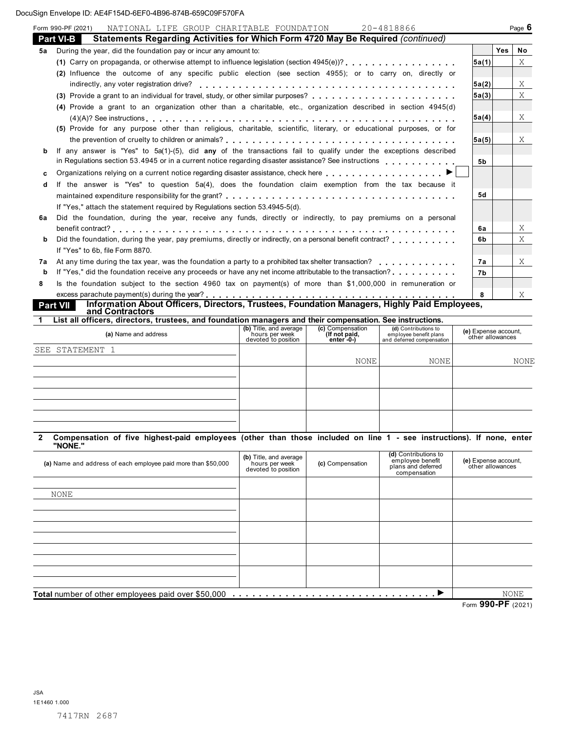|    | NATIONAL LIFE GROUP CHARITABLE FOUNDATION<br>20-4818866<br>Form 990-PF (2021)                                                      |       |            | Page $6$  |
|----|------------------------------------------------------------------------------------------------------------------------------------|-------|------------|-----------|
|    | Statements Regarding Activities for Which Form 4720 May Be Reguired (continued)<br><b>Part VI-B</b>                                |       |            |           |
| 5a | During the year, did the foundation pay or incur any amount to:                                                                    |       | <b>Yes</b> | <b>No</b> |
|    |                                                                                                                                    | 5a(1) |            | X         |
|    | (2) Influence the outcome of any specific public election (see section 4955); or to carry on, directly or                          |       |            |           |
|    |                                                                                                                                    | 5a(2) |            | X         |
|    |                                                                                                                                    | 5a(3) |            | X         |
|    | (4) Provide a grant to an organization other than a charitable, etc., organization described in section 4945(d)                    |       |            |           |
|    |                                                                                                                                    | 5a(4) |            | X         |
|    | (5) Provide for any purpose other than religious, charitable, scientific, literary, or educational purposes, or for                |       |            |           |
|    |                                                                                                                                    | 5a(5) |            | X         |
| b  | If any answer is "Yes" to 5a(1)-(5), did any of the transactions fail to qualify under the exceptions described                    |       |            |           |
|    | in Regulations section 53.4945 or in a current notice regarding disaster assistance? See instructions                              | 5b    |            |           |
| c  | Organizations relying on a current notice regarding disaster assistance, check here                                                |       |            |           |
| d  | If the answer is "Yes" to question 5a(4), does the foundation claim exemption from the tax because it                              |       |            |           |
|    |                                                                                                                                    | 5d    |            |           |
|    | If "Yes," attach the statement required by Requiations section 53.4945-5(d).                                                       |       |            |           |
| 6а | Did the foundation, during the year, receive any funds, directly or indirectly, to pay premiums on a personal                      |       |            |           |
|    |                                                                                                                                    | 6а    |            | X         |
| b  | Did the foundation, during the year, pay premiums, directly or indirectly, on a personal benefit contract?                         | 6b    |            | X         |
|    | If "Yes" to 6b, file Form 8870.                                                                                                    |       |            |           |
| 7а | At any time during the tax year, was the foundation a party to a prohibited tax shelter transaction?                               | 7а    |            | X         |
| b  | If "Yes," did the foundation receive any proceeds or have any net income attributable to the transaction?                          | 7b    |            |           |
| 8  | Is the foundation subject to the section 4960 tax on payment(s) of more than \$1,000,000 in remuneration or                        |       |            |           |
|    |                                                                                                                                    | 8     |            | X         |
|    | Information About Officers, Directors, Trustees, Foundation Managers, Highly Paid Employees,<br><b>Part VII</b><br>and Contractors |       |            |           |
|    | List all officers, directors, trustees, and foundation managers and their compensation. See instructions.                          |       |            |           |

| List all Ufficers, ullecturs, trustees, and foundation managers and their compensation. See instructions. |                                                                 |                                                       |                                                                             |                                          |  |  |  |
|-----------------------------------------------------------------------------------------------------------|-----------------------------------------------------------------|-------------------------------------------------------|-----------------------------------------------------------------------------|------------------------------------------|--|--|--|
| (a) Name and address                                                                                      | (b) Title, and average<br>hours per week<br>devoted to position | (c) Compensation<br>(If not paid,<br>enter $-0$ - $)$ | (d) Contributions to<br>employee benefit plans<br>and deferred compensation | (e) Expense account,<br>other allowances |  |  |  |
| SEE STATEMENT 1                                                                                           |                                                                 |                                                       |                                                                             |                                          |  |  |  |
|                                                                                                           |                                                                 | <b>NONE</b>                                           | <b>NONE</b>                                                                 | <b>NONE</b>                              |  |  |  |
|                                                                                                           |                                                                 |                                                       |                                                                             |                                          |  |  |  |
|                                                                                                           |                                                                 |                                                       |                                                                             |                                          |  |  |  |
|                                                                                                           |                                                                 |                                                       |                                                                             |                                          |  |  |  |
|                                                                                                           |                                                                 |                                                       |                                                                             |                                          |  |  |  |
|                                                                                                           |                                                                 |                                                       |                                                                             |                                          |  |  |  |
|                                                                                                           |                                                                 |                                                       |                                                                             |                                          |  |  |  |

#### 2 Compensation of five highest-paid employees (other than those included on line 1 - see instructions). If none, enter "NONE."

| (a) Name and address of each employee paid more than \$50,000 | (b) Title, and average<br>hours per week<br>devoted to position | (c) Compensation | (d) Contributions to<br>employee benefit<br>plans and deferred<br>compensation | (e) Expense account,<br>other allowances |
|---------------------------------------------------------------|-----------------------------------------------------------------|------------------|--------------------------------------------------------------------------------|------------------------------------------|
|                                                               |                                                                 |                  |                                                                                |                                          |
| <b>NONE</b>                                                   |                                                                 |                  |                                                                                |                                          |
|                                                               |                                                                 |                  |                                                                                |                                          |
|                                                               |                                                                 |                  |                                                                                |                                          |
|                                                               |                                                                 |                  |                                                                                |                                          |
|                                                               |                                                                 |                  |                                                                                |                                          |
|                                                               |                                                                 |                  |                                                                                |                                          |
|                                                               |                                                                 |                  |                                                                                |                                          |
|                                                               |                                                                 |                  |                                                                                |                                          |
|                                                               |                                                                 |                  |                                                                                |                                          |
| Total number of other employees paid over \$50,000            |                                                                 |                  |                                                                                | NONE                                     |
|                                                               |                                                                 |                  |                                                                                | Form 990-PF (2021)                       |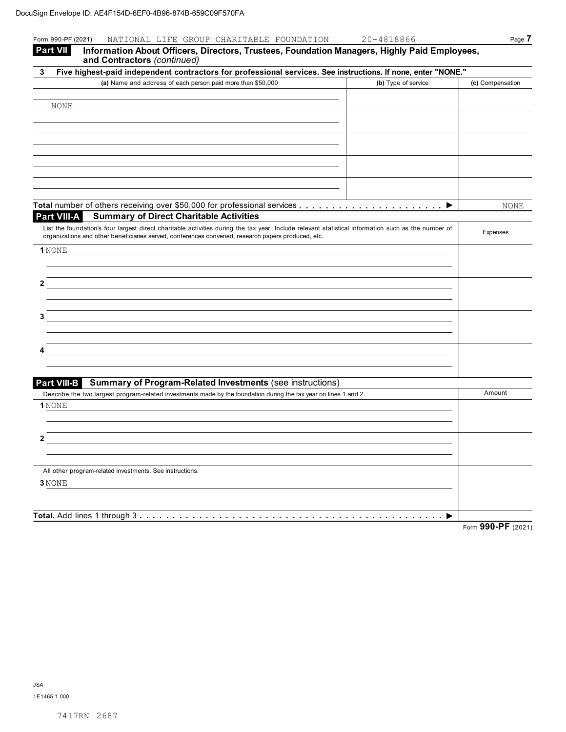| Form 990-PF (2021)<br>NATIONAL LIFE GROUP CHARITABLE FOUNDATION<br>20-4818866<br><b>Part VII</b><br>Information About Officers, Directors, Trustees, Foundation Managers, Highly Paid Employees,                                                          | Page 7             |
|-----------------------------------------------------------------------------------------------------------------------------------------------------------------------------------------------------------------------------------------------------------|--------------------|
| and Contractors (continued)                                                                                                                                                                                                                               |                    |
| Five highest-paid independent contractors for professional services. See instructions. If none, enter "NONE."<br>3                                                                                                                                        |                    |
| (a) Name and address of each person paid more than \$50,000<br>(b) Type of service                                                                                                                                                                        | (c) Compensation   |
|                                                                                                                                                                                                                                                           |                    |
| NONE                                                                                                                                                                                                                                                      |                    |
|                                                                                                                                                                                                                                                           |                    |
|                                                                                                                                                                                                                                                           |                    |
|                                                                                                                                                                                                                                                           |                    |
|                                                                                                                                                                                                                                                           |                    |
|                                                                                                                                                                                                                                                           |                    |
|                                                                                                                                                                                                                                                           |                    |
|                                                                                                                                                                                                                                                           |                    |
| ▶                                                                                                                                                                                                                                                         | <b>NONE</b>        |
| Part VIII-A<br><b>Summary of Direct Charitable Activities</b>                                                                                                                                                                                             |                    |
| List the foundation's four largest direct charitable activities during the tax year. Include relevant statistical information such as the number of<br>organizations and other beneficiaries served, conferences convened, research papers produced, etc. | Expenses           |
| 1 NONE                                                                                                                                                                                                                                                    |                    |
|                                                                                                                                                                                                                                                           |                    |
|                                                                                                                                                                                                                                                           |                    |
| 2                                                                                                                                                                                                                                                         |                    |
|                                                                                                                                                                                                                                                           |                    |
|                                                                                                                                                                                                                                                           |                    |
| з                                                                                                                                                                                                                                                         |                    |
|                                                                                                                                                                                                                                                           |                    |
|                                                                                                                                                                                                                                                           |                    |
|                                                                                                                                                                                                                                                           |                    |
|                                                                                                                                                                                                                                                           |                    |
| <b>Part VIII-B</b><br><b>Summary of Program-Related Investments (see instructions)</b>                                                                                                                                                                    |                    |
| Describe the two largest program-related investments made by the foundation during the tax year on lines 1 and 2.                                                                                                                                         | Amount             |
| 1 NONE                                                                                                                                                                                                                                                    |                    |
|                                                                                                                                                                                                                                                           |                    |
| 2                                                                                                                                                                                                                                                         |                    |
|                                                                                                                                                                                                                                                           |                    |
|                                                                                                                                                                                                                                                           |                    |
| All other program-related investments. See instructions.                                                                                                                                                                                                  |                    |
| 3 NONE                                                                                                                                                                                                                                                    |                    |
|                                                                                                                                                                                                                                                           |                    |
|                                                                                                                                                                                                                                                           |                    |
| Total. Add lines 1 through 3                                                                                                                                                                                                                              | Form 990-PF (2021) |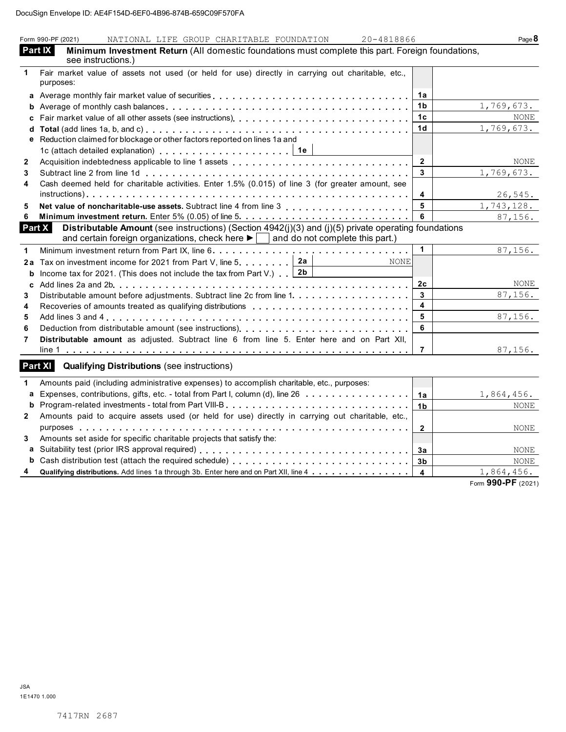|              | Form 990-PF (2021)<br>NATIONAL LIFE GROUP CHARITABLE FOUNDATION<br>20-4818866                                                                                                                                             |                         | Page 8             |
|--------------|---------------------------------------------------------------------------------------------------------------------------------------------------------------------------------------------------------------------------|-------------------------|--------------------|
|              | <b>Part IX</b><br>Minimum Investment Return (All domestic foundations must complete this part. Foreign foundations,<br>see instructions.)                                                                                 |                         |                    |
| 1            | Fair market value of assets not used (or held for use) directly in carrying out charitable, etc.,                                                                                                                         |                         |                    |
|              | purposes:                                                                                                                                                                                                                 |                         |                    |
|              | a Average monthly fair market value of securities                                                                                                                                                                         | 1a                      |                    |
|              |                                                                                                                                                                                                                           | 1b                      | 1,769,673.         |
|              |                                                                                                                                                                                                                           | 1 <sub>c</sub>          | <b>NONE</b>        |
| d            |                                                                                                                                                                                                                           | 1 <sub>d</sub>          | 1,769,673.         |
|              | e Reduction claimed for blockage or other factors reported on lines 1a and                                                                                                                                                |                         |                    |
|              | 1c (attach detailed explanation) $\ldots \ldots \ldots \ldots \ldots \ldots$                                                                                                                                              |                         |                    |
| $\mathbf{2}$ |                                                                                                                                                                                                                           | $\mathbf 2$             | NONE               |
| 3            |                                                                                                                                                                                                                           | 3                       | 1,769,673.         |
| 4            | Cash deemed held for charitable activities. Enter 1.5% (0.015) of line 3 (for greater amount, see                                                                                                                         |                         |                    |
|              |                                                                                                                                                                                                                           | $\overline{\mathbf{4}}$ | 26,545.            |
| 5            |                                                                                                                                                                                                                           | 5                       | 1,743,128.         |
| 6            |                                                                                                                                                                                                                           | 6                       | 87,156.            |
|              | Distributable Amount (see instructions) (Section 4942(j)(3) and (j)(5) private operating foundations<br>Part $X$<br>and certain foreign organizations, check here $\blacktriangleright$   and do not complete this part.) |                         |                    |
| 1            |                                                                                                                                                                                                                           | $\mathbf{1}$            | 87, 156.           |
| 2a           | Tax on investment income for 2021 from Part V, line 5. $2a$<br><b>NONE</b>                                                                                                                                                |                         |                    |
| b            | Income tax for 2021. (This does not include the tax from Part V.) $\boxed{2b}$                                                                                                                                            |                         |                    |
| c            |                                                                                                                                                                                                                           | 2 <sub>c</sub>          | NONE               |
| 3            |                                                                                                                                                                                                                           | 3                       | 87,156.            |
| 4            |                                                                                                                                                                                                                           | $\overline{\mathbf{4}}$ |                    |
| 5            |                                                                                                                                                                                                                           | 5                       | 87,156.            |
| 6            |                                                                                                                                                                                                                           | 6                       |                    |
| 7            | Distributable amount as adjusted. Subtract line 6 from line 5. Enter here and on Part XII,                                                                                                                                |                         |                    |
|              |                                                                                                                                                                                                                           | $\overline{7}$          | 87,156.            |
|              | Part XI<br><b>Qualifying Distributions (see instructions)</b>                                                                                                                                                             |                         |                    |
| 1            | Amounts paid (including administrative expenses) to accomplish charitable, etc., purposes:                                                                                                                                |                         |                    |
|              | a Expenses, contributions, gifts, etc. - total from Part I, column (d), line 26                                                                                                                                           | 1a                      | 1,864,456.         |
| b            |                                                                                                                                                                                                                           | 1 <sub>b</sub>          | <b>NONE</b>        |
| 2            | Amounts paid to acquire assets used (or held for use) directly in carrying out charitable, etc.,                                                                                                                          |                         |                    |
|              |                                                                                                                                                                                                                           | $\mathbf{2}$            | NONE               |
| 3            | Amounts set aside for specific charitable projects that satisfy the:                                                                                                                                                      |                         |                    |
|              |                                                                                                                                                                                                                           | 3a                      | <b>NONE</b>        |
| b            |                                                                                                                                                                                                                           | 3 <sub>b</sub>          | <b>NONE</b>        |
|              | Qualifying distributions. Add lines 1a through 3b. Enter here and on Part XII, line 4                                                                                                                                     | $\overline{\mathbf{4}}$ | 1,864,456.         |
|              |                                                                                                                                                                                                                           |                         | Form 990-PF (2021) |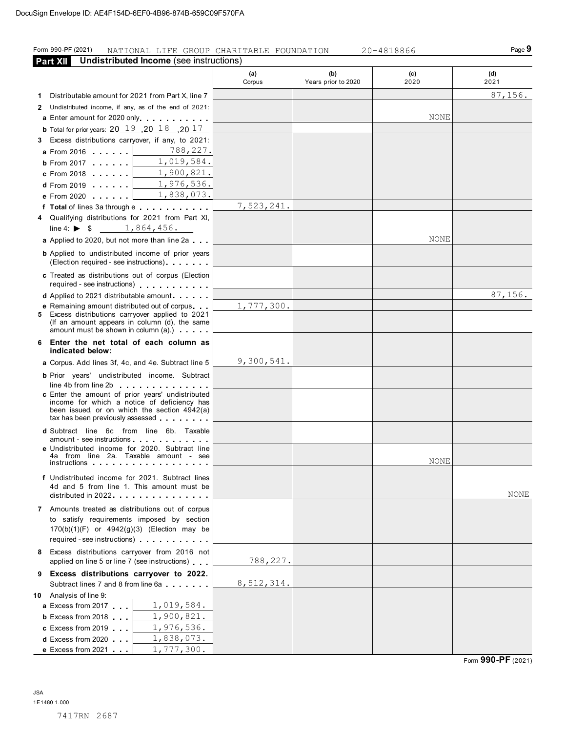### Form 990-PF (2021) NATIONAL LIFE GROUP CHARITABLE FOUNDATION 20-4818866 PAGE Page 9

**Part XII** Undistributed Income (see instructions) (a) Corpus (b) Years prior to 2020 (c) 2020 (d) 2021 1 Distributable amount for 2021 from Part X, line 7 2 Undistributed income, if any, as of the end of 2021: a Enter amount for 2020 only. . . . . . . . . . . **b** Total for prior years:  $20$   $\overline{19}$  ,  $20$   $\overline{18}$  ,  $20$   $\overline{17}$ **3** Excess distributions carryover, if any, to 2021: **a** Fotal for prior years:  $20 \perp 9$ ,  $20 \perp 9$ ,  $20 \perp 9$ ,  $20 \perp 9$ ,  $20 \perp 9$ ,  $20 \perp 9$ **a** From 2016 . . . . . .<br>**b** From 2017 . . . . . . a From 2016<br>b From 2017 ......<br>c From 2018 ...... **d** From 2017<br>**c** From 2018 ......<br>**d** From 2019 ...... d From 2019 . . . . . .<br>e From 2020 . . . . . . f Total of lines 3a through e . . . . . . . . . . . 4 Qualifying distributions for 2021 from Part XI, line 4:  $\triangleright$  \$ a Applied to 2020, but not more than line 2a . . . **b** Applied to undistributed income of prior years Applied to 2020, but not more than line 2a<br>
Applied to undistributed income of prior years<br>
(Election required - see instructions)....... c Treated as distributions out of corpus (Election Treated as distributions out of corpus (Election<br>required - see instructions)<br>equired - see instructions) **c** Treated as distributions out of corpus (Election<br>required - see instructions)<br>**d** Applied to 2021 distributable amount . . . . . . <sup>e</sup> Remaining amount distributed out of corpus 5 Excess distributions carryover applied to 2021 (If an amount appears in column (d), the same **e** Remaining amount distributed out of corpus.  $\blacksquare$ <br>Excess distributions carryover applied to 2021<br>(If an amount appears in column (d), the same<br>amount must be shown in column (a).) 6 Enter the net total of each column as indicated below: a Corpus. Add lines 3f, 4c, and 4e. Subtract line 5 **b** Prior years' undistributed income. Subtract line 4b from line 2b c Enter the amount of prior years' undistributed Eincome amount of prior years university has<br>been issued, or on which the section  $4942(a)$ <br>tax has been previously assessed  $\ldots$ ..... been issued, or on which the section 4942(a) d Subtract line 6c from line 6b. Taxable tax has been previously assessed . . . . . . . .<br>Subtract line 6c from line 6b. Taxable<br>amount - see instructions . . . . . . . . . . . . e Undistributed income for 2020. Subtract line 4a from line 2a. Taxable amount - see instructions f Undistributed income for 2021. Subtract lines 4d and 5 from line 1. This amount must be distributed in 2022. . . . . . . . . . . . . . . . 7 Amounts treated as distributions out of corpus to satisfy requirements imposed by section 170(b)(1)(F) or 4942(g)(3) (Election may be required - see instructions) . . . . . . . . . . . 8 Excess distributions carryover from 2016 not applied on line 5 or line 7 (see instructions) . . . 9 Excess distributions carryover to 2022.  $\frac{1}{2}$  applied on line 5 of line 7 (see instructions)  $\ldots$ <br>Excess distributions carryover to 2022. 10 Analysis of line 9: Subtract lines 7 and 8 from line<br>Analysis of line 9:<br>**a** Excess from 2017 Analysis of line 9:<br>**a** Excess from 2017<br>**b** Excess from 2018 **b** Excess from 2018  $\ldots$  **c** Excess from 2019  $\ldots$ d Excess from 2020 . . . e Excess from 2021 . . . 7,523,241. 87,156. NONE 788,227. 1,019,584. 1,900,821. 1,976,536. 1,838,073. 1,864,456. 1,777,300. 9,300,541. NONE 87,156. NONE NONE 788,227. 8,512,314. 1,019,584. 1,900,821. 1,976,536. 1,838,073. 1,777,300.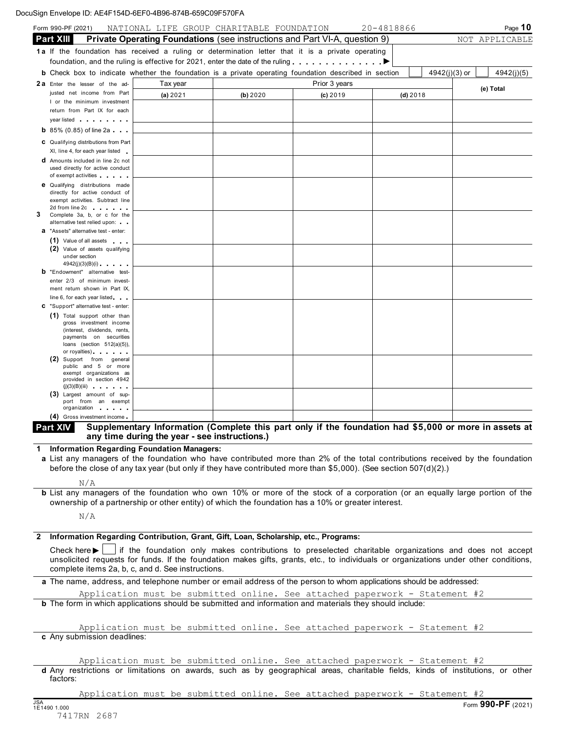|   | Form 990-PF (2021)                                                                                                                                                                                                                       | NATIONAL LIFE GROUP CHARITABLE FOUNDATION                                                                                                              |          |               | 20-4818866 |                 | Page $10$      |
|---|------------------------------------------------------------------------------------------------------------------------------------------------------------------------------------------------------------------------------------------|--------------------------------------------------------------------------------------------------------------------------------------------------------|----------|---------------|------------|-----------------|----------------|
|   | <b>Part XIII</b>                                                                                                                                                                                                                         | Private Operating Foundations (see instructions and Part VI-A, question 9)                                                                             |          |               |            |                 | NOT APPLICABLE |
|   | 1a If the foundation has received a ruling or determination letter that it is a private operating                                                                                                                                        |                                                                                                                                                        |          |               |            |                 |                |
|   | foundation, and the ruling is effective for 2021, enter the date of the ruling                                                                                                                                                           |                                                                                                                                                        |          |               |            |                 |                |
|   | <b>b</b> Check box to indicate whether the foundation is a private operating foundation described in section                                                                                                                             |                                                                                                                                                        |          |               |            | $4942(j)(3)$ or | 4942(j)(5)     |
|   | 2a Enter the lesser of the ad-                                                                                                                                                                                                           | Tax year                                                                                                                                               |          | Prior 3 years |            |                 |                |
|   | justed net income from Part                                                                                                                                                                                                              | (a) $2021$                                                                                                                                             | (b) 2020 | $(c)$ 2019    |            | $(d)$ 2018      | (e) Total      |
|   | I or the minimum investment                                                                                                                                                                                                              |                                                                                                                                                        |          |               |            |                 |                |
|   | return from Part IX for each                                                                                                                                                                                                             |                                                                                                                                                        |          |               |            |                 |                |
|   | year listed                                                                                                                                                                                                                              |                                                                                                                                                        |          |               |            |                 |                |
|   | <b>b</b> 85% (0.85) of line 2a $\ldots$                                                                                                                                                                                                  |                                                                                                                                                        |          |               |            |                 |                |
|   | C Qualifying distributions from Part                                                                                                                                                                                                     |                                                                                                                                                        |          |               |            |                 |                |
|   | XI, line 4, for each year listed                                                                                                                                                                                                         |                                                                                                                                                        |          |               |            |                 |                |
|   | <b>d</b> Amounts included in line 2c not                                                                                                                                                                                                 |                                                                                                                                                        |          |               |            |                 |                |
|   | used directly for active conduct                                                                                                                                                                                                         |                                                                                                                                                        |          |               |            |                 |                |
|   | of exempt activities<br><b>e</b> Qualifying distributions made                                                                                                                                                                           |                                                                                                                                                        |          |               |            |                 |                |
|   | directly for active conduct of                                                                                                                                                                                                           |                                                                                                                                                        |          |               |            |                 |                |
|   | exempt activities. Subtract line                                                                                                                                                                                                         |                                                                                                                                                        |          |               |            |                 |                |
| 3 | 2d from line 2c<br>Complete 3a, b, or c for the                                                                                                                                                                                          |                                                                                                                                                        |          |               |            |                 |                |
|   | alternative test relied upon:                                                                                                                                                                                                            |                                                                                                                                                        |          |               |            |                 |                |
|   | <b>a</b> "Assets" alternative test - enter:                                                                                                                                                                                              |                                                                                                                                                        |          |               |            |                 |                |
|   | (1) Value of all assets                                                                                                                                                                                                                  |                                                                                                                                                        |          |               |            |                 |                |
|   | (2) Value of assets qualifying<br>under section                                                                                                                                                                                          |                                                                                                                                                        |          |               |            |                 |                |
|   | $4942(j)(3)(B)(i)$                                                                                                                                                                                                                       |                                                                                                                                                        |          |               |            |                 |                |
|   | <b>b</b> "Endowment" alternative test-                                                                                                                                                                                                   |                                                                                                                                                        |          |               |            |                 |                |
|   | enter 2/3 of minimum invest-                                                                                                                                                                                                             |                                                                                                                                                        |          |               |            |                 |                |
|   | ment return shown in Part IX,                                                                                                                                                                                                            |                                                                                                                                                        |          |               |            |                 |                |
|   | line 6, for each year listed<br>C "Support" alternative test - enter:                                                                                                                                                                    |                                                                                                                                                        |          |               |            |                 |                |
|   | (1) Total support other than                                                                                                                                                                                                             |                                                                                                                                                        |          |               |            |                 |                |
|   | gross investment income                                                                                                                                                                                                                  |                                                                                                                                                        |          |               |            |                 |                |
|   | (interest, dividends, rents,                                                                                                                                                                                                             |                                                                                                                                                        |          |               |            |                 |                |
|   | payments on securities<br>loans (section $512(a)(5)$ ),                                                                                                                                                                                  |                                                                                                                                                        |          |               |            |                 |                |
|   | or royalties) and the set of the set of the set of the set of the set of the set of the set of the set of the set of the set of the set of the set of the set of the set of the set of the set of the set of the set of the se           |                                                                                                                                                        |          |               |            |                 |                |
|   | (2)<br>Support from general<br>public and 5 or more                                                                                                                                                                                      |                                                                                                                                                        |          |               |            |                 |                |
|   | exempt organizations as                                                                                                                                                                                                                  |                                                                                                                                                        |          |               |            |                 |                |
|   | provided in section 4942<br>$(j)(3)(B)(iii)$                                                                                                                                                                                             |                                                                                                                                                        |          |               |            |                 |                |
|   | (3) Largest amount of sup-                                                                                                                                                                                                               |                                                                                                                                                        |          |               |            |                 |                |
|   | port from an exempt                                                                                                                                                                                                                      |                                                                                                                                                        |          |               |            |                 |                |
|   | organization<br>(4) Gross investment income.                                                                                                                                                                                             |                                                                                                                                                        |          |               |            |                 |                |
|   | <b>Part XIV</b>                                                                                                                                                                                                                          |                                                                                                                                                        |          |               |            |                 |                |
|   |                                                                                                                                                                                                                                          | Supplementary Information (Complete this part only if the foundation had \$5,000 or more in assets at<br>any time during the year - see instructions.) |          |               |            |                 |                |
| 1 | <b>Information Regarding Foundation Managers:</b>                                                                                                                                                                                        |                                                                                                                                                        |          |               |            |                 |                |
|   | a List any managers of the foundation who have contributed more than 2% of the total contributions received by the foundation                                                                                                            |                                                                                                                                                        |          |               |            |                 |                |
|   | before the close of any tax year (but only if they have contributed more than \$5,000). (See section 507(d)(2).)                                                                                                                         |                                                                                                                                                        |          |               |            |                 |                |
|   |                                                                                                                                                                                                                                          |                                                                                                                                                        |          |               |            |                 |                |
|   | N/A                                                                                                                                                                                                                                      |                                                                                                                                                        |          |               |            |                 |                |
|   | <b>b</b> List any managers of the foundation who own 10% or more of the stock of a corporation (or an equally large portion of the<br>ownership of a partnership or other entity) of which the foundation has a 10% or greater interest. |                                                                                                                                                        |          |               |            |                 |                |
|   |                                                                                                                                                                                                                                          |                                                                                                                                                        |          |               |            |                 |                |
|   | N/A                                                                                                                                                                                                                                      |                                                                                                                                                        |          |               |            |                 |                |

| Information Regarding Contribution, Grant, Gift, Loan, Scholarship, etc., Programs:                                                  |
|--------------------------------------------------------------------------------------------------------------------------------------|
| Check here ►   if the foundation only makes contributions to preselected charitable organizations and does not accept                |
| unsolicited requests for funds. If the foundation makes gifts, grants, etc., to individuals or organizations under other conditions, |
| complete items 2a, b, c, and d. See instructions.                                                                                    |

a The name, address, and telephone number or email address of the person to whom applications should be addressed:

b The form in which applications should be submitted and information and materials they should include: Application must be submitted online. See attached paperwork - Statement #2

c Any submission deadlines: Application must be submitted online. See attached paperwork - Statement #2

d Any restrictions or limitations on awards, such as by geographical areas, charitable fields, kinds of institutions, or other factors: Application must be submitted online. See attached paperwork - Statement #2

Application must be submitted online. See attached paperwork - Statement #2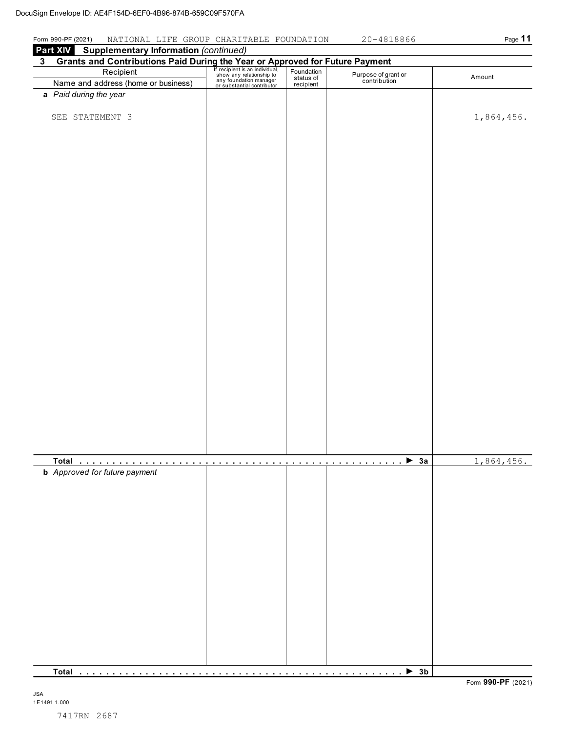### Form 990-PF (2021) NATIONAL LIFE GROUP CHARITABLE FOUNDATION 20-4818866 Page 11

| <b>Part XIV</b> Supplementary Information (continued)                                                                                                                                                                                     |  |  |                                     |            |  |  |
|-------------------------------------------------------------------------------------------------------------------------------------------------------------------------------------------------------------------------------------------|--|--|-------------------------------------|------------|--|--|
| <b>3</b> Grants and Contributions Paid During the Year or Approved for Future Payment<br>Recipient Frecipient San individual, Foundation Purpose of grand<br>Name and address (home or business) any foundation manager<br>or substantial |  |  |                                     |            |  |  |
|                                                                                                                                                                                                                                           |  |  | Purpose of grant or<br>contribution | Amount     |  |  |
|                                                                                                                                                                                                                                           |  |  |                                     |            |  |  |
| a Paid during the year                                                                                                                                                                                                                    |  |  |                                     |            |  |  |
|                                                                                                                                                                                                                                           |  |  |                                     |            |  |  |
| SEE STATEMENT 3                                                                                                                                                                                                                           |  |  |                                     | 1,864,456. |  |  |
|                                                                                                                                                                                                                                           |  |  |                                     |            |  |  |
|                                                                                                                                                                                                                                           |  |  |                                     |            |  |  |
|                                                                                                                                                                                                                                           |  |  |                                     |            |  |  |
|                                                                                                                                                                                                                                           |  |  |                                     |            |  |  |
|                                                                                                                                                                                                                                           |  |  |                                     |            |  |  |
|                                                                                                                                                                                                                                           |  |  |                                     |            |  |  |
|                                                                                                                                                                                                                                           |  |  |                                     |            |  |  |
|                                                                                                                                                                                                                                           |  |  |                                     |            |  |  |
|                                                                                                                                                                                                                                           |  |  |                                     |            |  |  |
|                                                                                                                                                                                                                                           |  |  |                                     |            |  |  |
|                                                                                                                                                                                                                                           |  |  |                                     |            |  |  |
|                                                                                                                                                                                                                                           |  |  |                                     |            |  |  |
|                                                                                                                                                                                                                                           |  |  |                                     |            |  |  |
|                                                                                                                                                                                                                                           |  |  |                                     |            |  |  |
|                                                                                                                                                                                                                                           |  |  |                                     |            |  |  |
|                                                                                                                                                                                                                                           |  |  |                                     |            |  |  |
|                                                                                                                                                                                                                                           |  |  |                                     |            |  |  |
|                                                                                                                                                                                                                                           |  |  |                                     |            |  |  |
|                                                                                                                                                                                                                                           |  |  |                                     |            |  |  |
|                                                                                                                                                                                                                                           |  |  |                                     |            |  |  |
|                                                                                                                                                                                                                                           |  |  |                                     |            |  |  |
|                                                                                                                                                                                                                                           |  |  |                                     |            |  |  |
|                                                                                                                                                                                                                                           |  |  |                                     |            |  |  |
|                                                                                                                                                                                                                                           |  |  |                                     |            |  |  |
|                                                                                                                                                                                                                                           |  |  |                                     |            |  |  |
|                                                                                                                                                                                                                                           |  |  |                                     |            |  |  |
|                                                                                                                                                                                                                                           |  |  |                                     |            |  |  |
|                                                                                                                                                                                                                                           |  |  |                                     |            |  |  |
|                                                                                                                                                                                                                                           |  |  |                                     |            |  |  |
|                                                                                                                                                                                                                                           |  |  |                                     |            |  |  |
|                                                                                                                                                                                                                                           |  |  | 3a<br>.                             | 1,864,456. |  |  |
| <b>b</b> Approved for future payment                                                                                                                                                                                                      |  |  |                                     |            |  |  |
|                                                                                                                                                                                                                                           |  |  |                                     |            |  |  |
|                                                                                                                                                                                                                                           |  |  |                                     |            |  |  |
|                                                                                                                                                                                                                                           |  |  |                                     |            |  |  |
|                                                                                                                                                                                                                                           |  |  |                                     |            |  |  |
|                                                                                                                                                                                                                                           |  |  |                                     |            |  |  |
|                                                                                                                                                                                                                                           |  |  |                                     |            |  |  |
|                                                                                                                                                                                                                                           |  |  |                                     |            |  |  |
|                                                                                                                                                                                                                                           |  |  |                                     |            |  |  |
|                                                                                                                                                                                                                                           |  |  |                                     |            |  |  |
|                                                                                                                                                                                                                                           |  |  |                                     |            |  |  |
|                                                                                                                                                                                                                                           |  |  |                                     |            |  |  |
|                                                                                                                                                                                                                                           |  |  |                                     |            |  |  |
|                                                                                                                                                                                                                                           |  |  |                                     |            |  |  |
|                                                                                                                                                                                                                                           |  |  |                                     |            |  |  |
|                                                                                                                                                                                                                                           |  |  |                                     |            |  |  |
|                                                                                                                                                                                                                                           |  |  |                                     |            |  |  |
| <u>Total</u>                                                                                                                                                                                                                              |  |  | $\rightarrow$ 3b                    |            |  |  |
|                                                                                                                                                                                                                                           |  |  |                                     |            |  |  |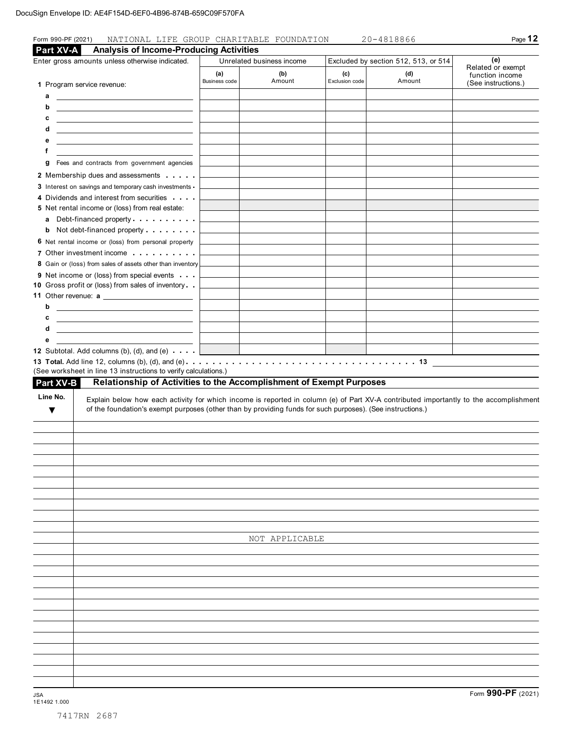| <b>Analysis of Income-Producing Activities</b><br>Part XV-A                                                                                                                                                                                                                           |                                                                           |                                              |                                                                      |        |                                             |  |
|---------------------------------------------------------------------------------------------------------------------------------------------------------------------------------------------------------------------------------------------------------------------------------------|---------------------------------------------------------------------------|----------------------------------------------|----------------------------------------------------------------------|--------|---------------------------------------------|--|
| Enter gross amounts unless otherwise indicated.                                                                                                                                                                                                                                       | Unrelated business income<br>(a)<br>(b)<br>Amount<br><b>Business code</b> |                                              | Excluded by section 512, 513, or 514<br>(c)<br>(d)<br>Exclusion code |        | (e)<br>Related or exempt<br>function income |  |
| 1 Program service revenue:<br>а<br><u> The Communication of the Communication of the Communication of the Communication of the Communication of</u><br>b<br>с<br><u> Alexandria de la contrada de la contrada de la contrada de la contrada de la contrada de la contrada de la c</u> |                                                                           |                                              |                                                                      | Amount | (See instructions.)                         |  |
| <u> 1989 - Johann Stoff, fransk politik (d. 1989)</u><br>d<br>е<br><u> Alexandria de la contrada de la contrada de la contrada de la contrada de la contrada de la contrada de la c</u><br>f<br><u> 1989 - Andrea Station Barbara, amerikan personal (h. 1989)</u>                    |                                                                           |                                              |                                                                      |        |                                             |  |
| Fees and contracts from government agencies<br>g                                                                                                                                                                                                                                      |                                                                           |                                              |                                                                      |        |                                             |  |
| 2 Membership dues and assessments                                                                                                                                                                                                                                                     |                                                                           |                                              |                                                                      |        |                                             |  |
| 3 Interest on savings and temporary cash investments -                                                                                                                                                                                                                                |                                                                           |                                              |                                                                      |        |                                             |  |
| 4 Dividends and interest from securities<br>5 Net rental income or (loss) from real estate:<br>a Debt-financed property.                                                                                                                                                              |                                                                           |                                              |                                                                      |        |                                             |  |
| <b>b</b> Not debt-financed property                                                                                                                                                                                                                                                   |                                                                           |                                              |                                                                      |        |                                             |  |
| 6 Net rental income or (loss) from personal property                                                                                                                                                                                                                                  |                                                                           |                                              |                                                                      |        |                                             |  |
| 7 Other investment income                                                                                                                                                                                                                                                             |                                                                           |                                              |                                                                      |        |                                             |  |
| 8 Gain or (loss) from sales of assets other than inventory                                                                                                                                                                                                                            |                                                                           |                                              |                                                                      |        |                                             |  |
| 9 Net income or (loss) from special events                                                                                                                                                                                                                                            |                                                                           |                                              |                                                                      |        |                                             |  |
| 10 Gross profit or (loss) from sales of inventory                                                                                                                                                                                                                                     |                                                                           |                                              |                                                                      |        |                                             |  |
| b                                                                                                                                                                                                                                                                                     |                                                                           |                                              |                                                                      |        |                                             |  |
| <u> 1989 - Johann Barn, mars and de Branch Barn, mars and de Branch Barn, mars and de Branch Barn, mars and de Br</u><br>с                                                                                                                                                            |                                                                           |                                              |                                                                      |        |                                             |  |
| d<br><u> 1989 - Johann Barn, fransk politik amerikansk politik (</u>                                                                                                                                                                                                                  |                                                                           |                                              |                                                                      |        |                                             |  |
| е                                                                                                                                                                                                                                                                                     |                                                                           |                                              |                                                                      |        |                                             |  |
| 12 Subtotal. Add columns (b), (d), and (e) $\cdots$ .                                                                                                                                                                                                                                 |                                                                           | the control of the control of the control of |                                                                      |        |                                             |  |
|                                                                                                                                                                                                                                                                                       |                                                                           |                                              |                                                                      |        |                                             |  |
| (See worksheet in line 13 instructions to verify calculations.)                                                                                                                                                                                                                       |                                                                           |                                              |                                                                      |        |                                             |  |
| Relationship of Activities to the Accomplishment of Exempt Purposes<br><b>Part XV-B</b>                                                                                                                                                                                               |                                                                           |                                              |                                                                      |        |                                             |  |
| Line No.<br>Explain below how each activity for which income is reported in column (e) of Part XV-A contributed importantly to the accomplishment<br>of the foundation's exempt purposes (other than by providing funds for such purposes). (See instructions.)<br>v                  |                                                                           |                                              |                                                                      |        |                                             |  |
|                                                                                                                                                                                                                                                                                       |                                                                           |                                              |                                                                      |        |                                             |  |
|                                                                                                                                                                                                                                                                                       |                                                                           |                                              |                                                                      |        |                                             |  |
|                                                                                                                                                                                                                                                                                       |                                                                           |                                              |                                                                      |        |                                             |  |
|                                                                                                                                                                                                                                                                                       |                                                                           |                                              |                                                                      |        |                                             |  |
|                                                                                                                                                                                                                                                                                       |                                                                           |                                              |                                                                      |        |                                             |  |
|                                                                                                                                                                                                                                                                                       |                                                                           |                                              |                                                                      |        |                                             |  |
|                                                                                                                                                                                                                                                                                       |                                                                           |                                              |                                                                      |        |                                             |  |
|                                                                                                                                                                                                                                                                                       |                                                                           |                                              |                                                                      |        |                                             |  |
|                                                                                                                                                                                                                                                                                       |                                                                           |                                              |                                                                      |        |                                             |  |
|                                                                                                                                                                                                                                                                                       |                                                                           | NOT APPLICABLE                               |                                                                      |        |                                             |  |
|                                                                                                                                                                                                                                                                                       |                                                                           |                                              |                                                                      |        |                                             |  |
|                                                                                                                                                                                                                                                                                       |                                                                           |                                              |                                                                      |        |                                             |  |
|                                                                                                                                                                                                                                                                                       |                                                                           |                                              |                                                                      |        |                                             |  |
|                                                                                                                                                                                                                                                                                       |                                                                           |                                              |                                                                      |        |                                             |  |
|                                                                                                                                                                                                                                                                                       |                                                                           |                                              |                                                                      |        |                                             |  |
|                                                                                                                                                                                                                                                                                       |                                                                           |                                              |                                                                      |        |                                             |  |
|                                                                                                                                                                                                                                                                                       |                                                                           |                                              |                                                                      |        |                                             |  |
|                                                                                                                                                                                                                                                                                       |                                                                           |                                              |                                                                      |        |                                             |  |
|                                                                                                                                                                                                                                                                                       |                                                                           |                                              |                                                                      |        |                                             |  |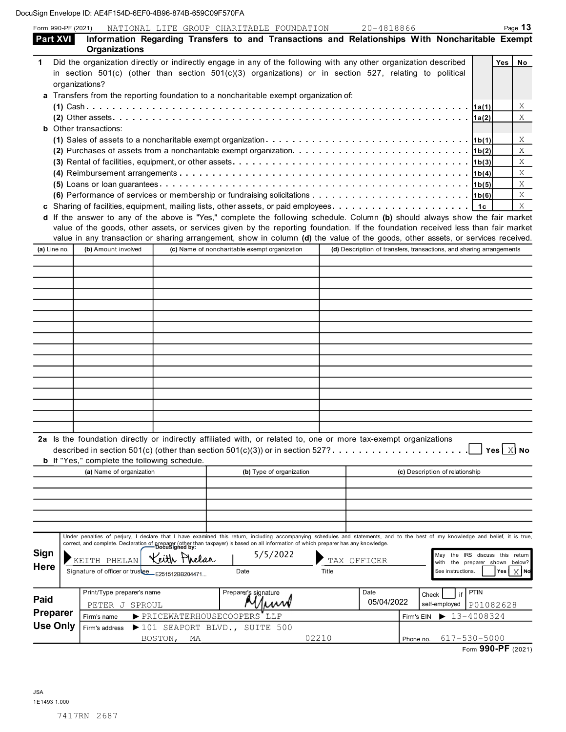DocuSign Env

| <b>Part XVI</b><br>1<br>organizations?<br><b>b</b> Other transactions:<br>(a) Line no. | <b>Organizations</b><br>$(2)$ Other assets $\ldots$ $\ldots$ $\ldots$ $\ldots$<br>value in any transaction or sharing arrangement, show in column (d) the value of the goods, other assets, or services received.<br>(b) Amount involved |                                               | Information Regarding Transfers to and Transactions and Relationships With Noncharitable Exempt<br>Did the organization directly or indirectly engage in any of the following with any other organization described<br>in section $501(c)$ (other than section $501(c)(3)$ organizations) or in section 527, relating to political<br>a Transfers from the reporting foundation to a noncharitable exempt organization of:<br>(1) Sales of assets to a noncharitable exempt organization $\ldots \ldots \ldots \ldots \ldots \ldots \ldots \ldots \ldots \ldots \ldots$<br>(2) Purchases of assets from a noncharitable exempt organization. $\ldots \ldots \ldots \ldots \ldots \ldots \ldots \ldots \ldots \ldots$<br>(4) Reimbursement arrangements $\ldots \ldots \ldots \ldots \ldots \ldots \ldots \ldots \ldots \ldots \ldots \ldots \ldots$<br>(6) Performance of services or membership or fundraising solicitations $\ldots \ldots \ldots \ldots \ldots \ldots \ldots \ldots$<br><b>c</b> Sharing of facilities, equipment, mailing lists, other assets, or paid employees. $\ldots \ldots \ldots \ldots \ldots \ldots$<br>d If the answer to any of the above is "Yes," complete the following schedule. Column (b) should always show the fair market<br>value of the goods, other assets, or services given by the reporting foundation. If the foundation received less than fair market |                                                                      |                                 | 1a(1) <br>1a(2)<br> 1b(2) <br> 1b(3) <br> 1b(4) <br>1c | Yes                     | No<br>Χ<br>X<br>Χ<br>$\bar{X}$<br>X<br>X<br>X<br>X<br>X |
|----------------------------------------------------------------------------------------|------------------------------------------------------------------------------------------------------------------------------------------------------------------------------------------------------------------------------------------|-----------------------------------------------|--------------------------------------------------------------------------------------------------------------------------------------------------------------------------------------------------------------------------------------------------------------------------------------------------------------------------------------------------------------------------------------------------------------------------------------------------------------------------------------------------------------------------------------------------------------------------------------------------------------------------------------------------------------------------------------------------------------------------------------------------------------------------------------------------------------------------------------------------------------------------------------------------------------------------------------------------------------------------------------------------------------------------------------------------------------------------------------------------------------------------------------------------------------------------------------------------------------------------------------------------------------------------------------------------------------------------------------------------------------------------------------------------------|----------------------------------------------------------------------|---------------------------------|--------------------------------------------------------|-------------------------|---------------------------------------------------------|
|                                                                                        |                                                                                                                                                                                                                                          |                                               |                                                                                                                                                                                                                                                                                                                                                                                                                                                                                                                                                                                                                                                                                                                                                                                                                                                                                                                                                                                                                                                                                                                                                                                                                                                                                                                                                                                                        |                                                                      |                                 |                                                        |                         |                                                         |
|                                                                                        |                                                                                                                                                                                                                                          |                                               |                                                                                                                                                                                                                                                                                                                                                                                                                                                                                                                                                                                                                                                                                                                                                                                                                                                                                                                                                                                                                                                                                                                                                                                                                                                                                                                                                                                                        |                                                                      |                                 |                                                        |                         |                                                         |
|                                                                                        |                                                                                                                                                                                                                                          |                                               |                                                                                                                                                                                                                                                                                                                                                                                                                                                                                                                                                                                                                                                                                                                                                                                                                                                                                                                                                                                                                                                                                                                                                                                                                                                                                                                                                                                                        |                                                                      |                                 |                                                        |                         |                                                         |
|                                                                                        |                                                                                                                                                                                                                                          | (c) Name of noncharitable exempt organization |                                                                                                                                                                                                                                                                                                                                                                                                                                                                                                                                                                                                                                                                                                                                                                                                                                                                                                                                                                                                                                                                                                                                                                                                                                                                                                                                                                                                        | (d) Description of transfers, transactions, and sharing arrangements |                                 |                                                        |                         |                                                         |
|                                                                                        |                                                                                                                                                                                                                                          |                                               |                                                                                                                                                                                                                                                                                                                                                                                                                                                                                                                                                                                                                                                                                                                                                                                                                                                                                                                                                                                                                                                                                                                                                                                                                                                                                                                                                                                                        |                                                                      |                                 |                                                        |                         |                                                         |
|                                                                                        |                                                                                                                                                                                                                                          |                                               |                                                                                                                                                                                                                                                                                                                                                                                                                                                                                                                                                                                                                                                                                                                                                                                                                                                                                                                                                                                                                                                                                                                                                                                                                                                                                                                                                                                                        |                                                                      |                                 |                                                        |                         |                                                         |
|                                                                                        |                                                                                                                                                                                                                                          |                                               |                                                                                                                                                                                                                                                                                                                                                                                                                                                                                                                                                                                                                                                                                                                                                                                                                                                                                                                                                                                                                                                                                                                                                                                                                                                                                                                                                                                                        |                                                                      |                                 |                                                        |                         |                                                         |
|                                                                                        |                                                                                                                                                                                                                                          |                                               |                                                                                                                                                                                                                                                                                                                                                                                                                                                                                                                                                                                                                                                                                                                                                                                                                                                                                                                                                                                                                                                                                                                                                                                                                                                                                                                                                                                                        |                                                                      |                                 |                                                        |                         |                                                         |
|                                                                                        |                                                                                                                                                                                                                                          |                                               |                                                                                                                                                                                                                                                                                                                                                                                                                                                                                                                                                                                                                                                                                                                                                                                                                                                                                                                                                                                                                                                                                                                                                                                                                                                                                                                                                                                                        |                                                                      |                                 |                                                        |                         |                                                         |
|                                                                                        |                                                                                                                                                                                                                                          |                                               |                                                                                                                                                                                                                                                                                                                                                                                                                                                                                                                                                                                                                                                                                                                                                                                                                                                                                                                                                                                                                                                                                                                                                                                                                                                                                                                                                                                                        |                                                                      |                                 |                                                        |                         |                                                         |
|                                                                                        |                                                                                                                                                                                                                                          |                                               |                                                                                                                                                                                                                                                                                                                                                                                                                                                                                                                                                                                                                                                                                                                                                                                                                                                                                                                                                                                                                                                                                                                                                                                                                                                                                                                                                                                                        |                                                                      |                                 |                                                        |                         |                                                         |
|                                                                                        |                                                                                                                                                                                                                                          |                                               |                                                                                                                                                                                                                                                                                                                                                                                                                                                                                                                                                                                                                                                                                                                                                                                                                                                                                                                                                                                                                                                                                                                                                                                                                                                                                                                                                                                                        |                                                                      |                                 |                                                        |                         |                                                         |
|                                                                                        |                                                                                                                                                                                                                                          |                                               |                                                                                                                                                                                                                                                                                                                                                                                                                                                                                                                                                                                                                                                                                                                                                                                                                                                                                                                                                                                                                                                                                                                                                                                                                                                                                                                                                                                                        |                                                                      |                                 |                                                        |                         |                                                         |
|                                                                                        |                                                                                                                                                                                                                                          |                                               |                                                                                                                                                                                                                                                                                                                                                                                                                                                                                                                                                                                                                                                                                                                                                                                                                                                                                                                                                                                                                                                                                                                                                                                                                                                                                                                                                                                                        |                                                                      |                                 |                                                        |                         |                                                         |
|                                                                                        |                                                                                                                                                                                                                                          |                                               |                                                                                                                                                                                                                                                                                                                                                                                                                                                                                                                                                                                                                                                                                                                                                                                                                                                                                                                                                                                                                                                                                                                                                                                                                                                                                                                                                                                                        |                                                                      |                                 |                                                        |                         |                                                         |
|                                                                                        |                                                                                                                                                                                                                                          |                                               |                                                                                                                                                                                                                                                                                                                                                                                                                                                                                                                                                                                                                                                                                                                                                                                                                                                                                                                                                                                                                                                                                                                                                                                                                                                                                                                                                                                                        |                                                                      |                                 |                                                        |                         |                                                         |
|                                                                                        |                                                                                                                                                                                                                                          |                                               | 2a Is the foundation directly or indirectly affiliated with, or related to, one or more tax-exempt organizations                                                                                                                                                                                                                                                                                                                                                                                                                                                                                                                                                                                                                                                                                                                                                                                                                                                                                                                                                                                                                                                                                                                                                                                                                                                                                       |                                                                      |                                 |                                                        |                         |                                                         |
|                                                                                        | <b>b</b> If "Yes," complete the following schedule.                                                                                                                                                                                      |                                               |                                                                                                                                                                                                                                                                                                                                                                                                                                                                                                                                                                                                                                                                                                                                                                                                                                                                                                                                                                                                                                                                                                                                                                                                                                                                                                                                                                                                        |                                                                      |                                 |                                                        | Yes $\boxed{\times}$ No |                                                         |
|                                                                                        | (a) Name of organization                                                                                                                                                                                                                 |                                               | (b) Type of organization                                                                                                                                                                                                                                                                                                                                                                                                                                                                                                                                                                                                                                                                                                                                                                                                                                                                                                                                                                                                                                                                                                                                                                                                                                                                                                                                                                               |                                                                      | (c) Description of relationship |                                                        |                         |                                                         |

|                                            | (a) Name of organization                                                                                                                                                                                    |                                                                                                            | (b) Type of organization |                    | (c) Description of relationship                                                                                                                                                                                                                                                                                              |
|--------------------------------------------|-------------------------------------------------------------------------------------------------------------------------------------------------------------------------------------------------------------|------------------------------------------------------------------------------------------------------------|--------------------------|--------------------|------------------------------------------------------------------------------------------------------------------------------------------------------------------------------------------------------------------------------------------------------------------------------------------------------------------------------|
|                                            |                                                                                                                                                                                                             |                                                                                                            |                          |                    |                                                                                                                                                                                                                                                                                                                              |
| <b>Sign</b><br><b>Here</b>                 | correct, and complete. Declaration of preparer (other than taxpayer) is based on all information of which preparer has any knowledge.<br>KEITH PHELAN<br>Signature of officer or trustee<br>E251512BB204471 | Phelar<br>Date                                                                                             | 5/5/2022<br>TAX<br>Title | OFFICER            | Under penalties of perjury, I declare that I have examined this return, including accompanying schedules and statements, and to the best of my knowledge and belief, it is true,<br>IRS<br>discuss this return<br>May<br>the<br>shown below?<br>the preparer<br>with<br>Yes $\vert$ $\times$ $\vert$ No<br>See instructions. |
| Paid<br><b>Preparer</b><br><b>Use Only</b> | Print/Type preparer's name<br>SPROUL<br>PETER J<br>Firm's name<br>Firm's address<br>BOSTON,                                                                                                                 | Preparer's signature<br>PRICEWATERHOUSECOOPERS<br>$\blacktriangleright$ 101 SEAPORT BLVD., SUITE 500<br>МA | LLP<br>02210             | Date<br>05/04/2022 | PTIN<br>$1$ if $1$<br>Check<br>self-employed<br>P01082628<br>13-4008324<br>Firm's EIN<br>▶<br>617-530-5000<br>Phone no.                                                                                                                                                                                                      |
|                                            |                                                                                                                                                                                                             |                                                                                                            |                          |                    | Form 990-PF (2021)                                                                                                                                                                                                                                                                                                           |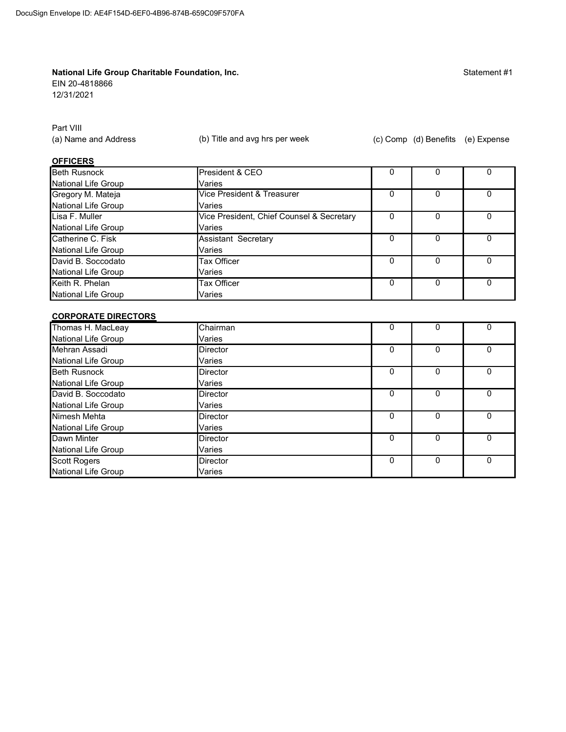#### National Life Group Charitable Foundation, Inc.

EIN 20-4818866

12/31/2021

Statement #1

Part VIII

(a) Name and Address

(b) Title and avg hrs per week

(c) Comp (d) Benefits (e) Expense

#### **OFFICERS**

| Beth Rusnock        | President & CEO                           |   |          |   |
|---------------------|-------------------------------------------|---|----------|---|
| National Life Group | Varies                                    |   |          |   |
| Gregory M. Mateja   | Vice President & Treasurer                |   |          | O |
| National Life Group | Varies                                    |   |          |   |
| Lisa F. Muller      | Vice President, Chief Counsel & Secretary | O |          | 0 |
| National Life Group | Varies                                    |   |          |   |
| Catherine C. Fisk   | Assistant Secretary                       |   |          | O |
| National Life Group | Varies                                    |   |          |   |
| David B. Soccodato  | Tax Officer                               |   | 0        | O |
| National Life Group | Varies                                    |   |          |   |
| Keith R. Phelan     | Tax Officer                               |   | $\Omega$ | O |
| National Life Group | Varies                                    |   |          |   |

#### **CORPORATE DIRECTORS**

| Thomas H. MacLeay   | Chairman        | $\Omega$ | 0 |  |
|---------------------|-----------------|----------|---|--|
| National Life Group | Varies          |          |   |  |
| Mehran Assadi       | Director        | O        | 0 |  |
| National Life Group | Varies          |          |   |  |
| <b>Beth Rusnock</b> | Director        | 0        | 0 |  |
| National Life Group | Varies          |          |   |  |
| David B. Soccodato  | Director        | $\Omega$ | O |  |
| National Life Group | Varies          |          |   |  |
| Nimesh Mehta        | <b>Director</b> | 0        | 0 |  |
| National Life Group | Varies          |          |   |  |
| Dawn Minter         | Director        | $\Omega$ | 0 |  |
| National Life Group | Varies          |          |   |  |
| Scott Rogers        | Director        | 0        | 0 |  |
| National Life Group | Varies          |          |   |  |